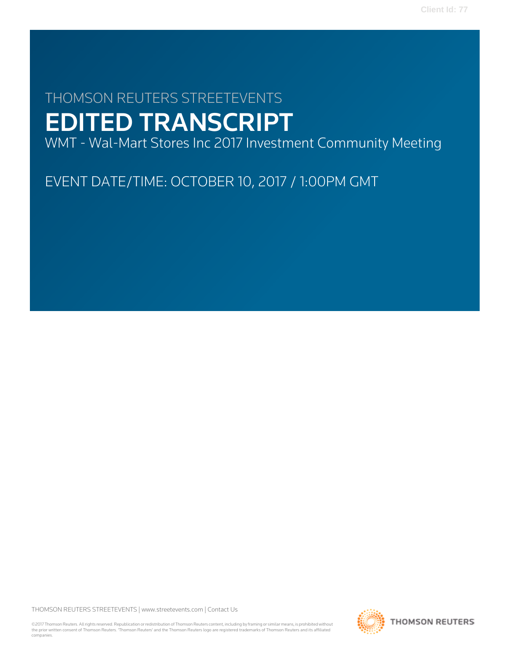# THOMSON REUTERS STREETEVENTS EDITED TRANSCRIPT

WMT - Wal-Mart Stores Inc 2017 Investment Community Meeting

EVENT DATE/TIME: OCTOBER 10, 2017 / 1:00PM GMT

THOMSON REUTERS STREETEVENTS | [www.streetevents.com](http://www.streetevents.com) | [Contact Us](http://www010.streetevents.com/contact.asp)

©2017 Thomson Reuters. All rights reserved. Republication or redistribution of Thomson Reuters content, including by framing or similar means, is prohibited without the prior written consent of Thomson Reuters. 'Thomson Reuters' and the Thomson Reuters logo are registered trademarks of Thomson Reuters and its affiliated companies.

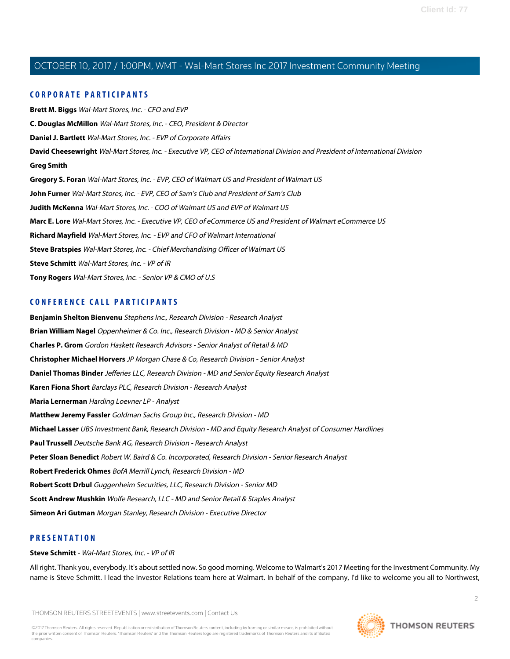#### **CORPORATE PARTICIPANTS**

**[Brett M. Biggs](#page-7-0)** Wal-Mart Stores, Inc. - CFO and EVP **[C. Douglas McMillon](#page-2-0)** Wal-Mart Stores, Inc. - CEO, President & Director **[Daniel J. Bartlett](#page-42-0)** Wal-Mart Stores, Inc. - EVP of Corporate Affairs **[David Cheesewright](#page-19-0)** Wal-Mart Stores, Inc. - Executive VP, CEO of International Division and President of International Division **[Greg Smith](#page-46-0) [Gregory S. Foran](#page-26-0)** Wal-Mart Stores, Inc. - EVP, CEO of Walmart US and President of Walmart US **[John Furner](#page-16-0)** Wal-Mart Stores, Inc. - EVP, CEO of Sam's Club and President of Sam's Club **[Judith McKenna](#page-31-0)** Wal-Mart Stores, Inc. - COO of Walmart US and EVP of Walmart US **[Marc E. Lore](#page-11-0)** Wal-Mart Stores, Inc. - Executive VP, CEO of eCommerce US and President of Walmart eCommerce US **[Richard Mayfield](#page-36-0)** Wal-Mart Stores, Inc. - EVP and CFO of Walmart International **[Steve Bratspies](#page-36-1)** Wal-Mart Stores, Inc. - Chief Merchandising Officer of Walmart US **[Steve Schmitt](#page-1-0)** Wal-Mart Stores, Inc. - VP of IR **[Tony Rogers](#page-42-1)** Wal-Mart Stores, Inc. - Senior VP & CMO of U.S

### **CONFERENCE CALL PARTICIPANTS**

**[Benjamin Shelton Bienvenu](#page-45-0)** Stephens Inc., Research Division - Research Analyst **[Brian William Nagel](#page-37-0)** Oppenheimer & Co. Inc., Research Division - MD & Senior Analyst **[Charles P. Grom](#page-41-0)** Gordon Haskett Research Advisors - Senior Analyst of Retail & MD **[Christopher Michael Horvers](#page-32-0)** JP Morgan Chase & Co, Research Division - Senior Analyst **[Daniel Thomas Binder](#page-47-0)** Jefferies LLC, Research Division - MD and Senior Equity Research Analyst **[Karen Fiona Short](#page-35-0)** Barclays PLC, Research Division - Research Analyst **[Maria Lernerman](#page-40-0)** Harding Loevner LP - Analyst **[Matthew Jeremy Fassler](#page-35-1)** Goldman Sachs Group Inc., Research Division - MD **[Michael Lasser](#page-37-1)** UBS Investment Bank, Research Division - MD and Equity Research Analyst of Consumer Hardlines **[Paul Trussell](#page-43-0)** Deutsche Bank AG, Research Division - Research Analyst **[Peter Sloan Benedict](#page-31-1)** Robert W. Baird & Co. Incorporated, Research Division - Senior Research Analyst **[Robert Frederick Ohmes](#page-33-0)** BofA Merrill Lynch, Research Division - MD **[Robert Scott Drbul](#page-34-0)** Guggenheim Securities, LLC, Research Division - Senior MD **[Scott Andrew Mushkin](#page-40-1)** Wolfe Research, LLC - MD and Senior Retail & Staples Analyst **[Simeon Ari Gutman](#page-32-1)** Morgan Stanley, Research Division - Executive Director

#### <span id="page-1-0"></span>**PRESENTATION**

#### **Steve Schmitt** - Wal-Mart Stores, Inc. - VP of IR

All right. Thank you, everybody. It's about settled now. So good morning. Welcome to Walmart's 2017 Meeting for the Investment Community. My name is Steve Schmitt. I lead the Investor Relations team here at Walmart. In behalf of the company, I'd like to welcome you all to Northwest,

THOMSON REUTERS STREETEVENTS | [www.streetevents.com](http://www.streetevents.com) | [Contact Us](http://www010.streetevents.com/contact.asp)



 $\overline{2}$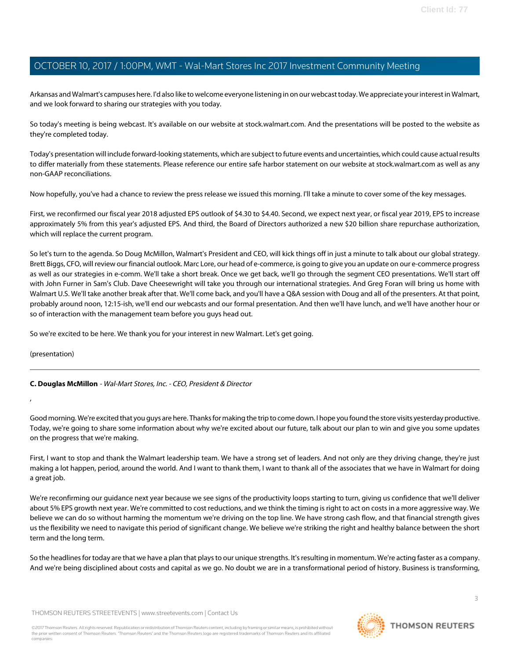Arkansas and Walmart's campuses here. I'd also like to welcome everyone listening in on our webcast today. We appreciate your interest in Walmart, and we look forward to sharing our strategies with you today.

So today's meeting is being webcast. It's available on our website at stock.walmart.com. And the presentations will be posted to the website as they're completed today.

Today's presentation will include forward-looking statements, which are subject to future events and uncertainties, which could cause actual results to differ materially from these statements. Please reference our entire safe harbor statement on our website at stock.walmart.com as well as any non-GAAP reconciliations.

Now hopefully, you've had a chance to review the press release we issued this morning. I'll take a minute to cover some of the key messages.

First, we reconfirmed our fiscal year 2018 adjusted EPS outlook of \$4.30 to \$4.40. Second, we expect next year, or fiscal year 2019, EPS to increase approximately 5% from this year's adjusted EPS. And third, the Board of Directors authorized a new \$20 billion share repurchase authorization, which will replace the current program.

So let's turn to the agenda. So Doug McMillon, Walmart's President and CEO, will kick things off in just a minute to talk about our global strategy. Brett Biggs, CFO, will review our financial outlook. Marc Lore, our head of e-commerce, is going to give you an update on our e-commerce progress as well as our strategies in e-comm. We'll take a short break. Once we get back, we'll go through the segment CEO presentations. We'll start off with John Furner in Sam's Club. Dave Cheesewright will take you through our international strategies. And Greg Foran will bring us home with Walmart U.S. We'll take another break after that. We'll come back, and you'll have a Q&A session with Doug and all of the presenters. At that point, probably around noon, 12:15-ish, we'll end our webcasts and our formal presentation. And then we'll have lunch, and we'll have another hour or so of interaction with the management team before you guys head out.

So we're excited to be here. We thank you for your interest in new Walmart. Let's get going.

<span id="page-2-0"></span>(presentation)

,

**C. Douglas McMillon** - Wal-Mart Stores, Inc. - CEO, President & Director

Good morning. We're excited that you guys are here. Thanks for making the trip to come down. I hope you found the store visits yesterday productive. Today, we're going to share some information about why we're excited about our future, talk about our plan to win and give you some updates on the progress that we're making.

First, I want to stop and thank the Walmart leadership team. We have a strong set of leaders. And not only are they driving change, they're just making a lot happen, period, around the world. And I want to thank them, I want to thank all of the associates that we have in Walmart for doing a great job.

We're reconfirming our guidance next year because we see signs of the productivity loops starting to turn, giving us confidence that we'll deliver about 5% EPS growth next year. We're committed to cost reductions, and we think the timing is right to act on costs in a more aggressive way. We believe we can do so without harming the momentum we're driving on the top line. We have strong cash flow, and that financial strength gives us the flexibility we need to navigate this period of significant change. We believe we're striking the right and healthy balance between the short term and the long term.

So the headlines for today are that we have a plan that plays to our unique strengths. It's resulting in momentum. We're acting faster as a company. And we're being disciplined about costs and capital as we go. No doubt we are in a transformational period of history. Business is transforming,

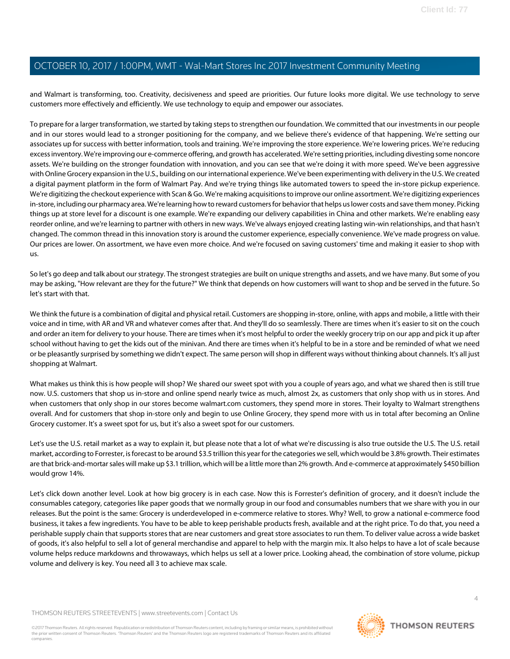and Walmart is transforming, too. Creativity, decisiveness and speed are priorities. Our future looks more digital. We use technology to serve customers more effectively and efficiently. We use technology to equip and empower our associates.

To prepare for a larger transformation, we started by taking steps to strengthen our foundation. We committed that our investments in our people and in our stores would lead to a stronger positioning for the company, and we believe there's evidence of that happening. We're setting our associates up for success with better information, tools and training. We're improving the store experience. We're lowering prices. We're reducing excess inventory. We're improving our e-commerce offering, and growth has accelerated. We're setting priorities, including divesting some noncore assets. We're building on the stronger foundation with innovation, and you can see that we're doing it with more speed. We've been aggressive with Online Grocery expansion in the U.S., building on our international experience. We've been experimenting with delivery in the U.S. We created a digital payment platform in the form of Walmart Pay. And we're trying things like automated towers to speed the in-store pickup experience. We're digitizing the checkout experience with Scan & Go. We're making acquisitions to improve our online assortment. We're digitizing experiences in-store, including our pharmacy area. We're learning how to reward customers for behavior that helps us lower costs and save them money. Picking things up at store level for a discount is one example. We're expanding our delivery capabilities in China and other markets. We're enabling easy reorder online, and we're learning to partner with others in new ways. We've always enjoyed creating lasting win-win relationships, and that hasn't changed. The common thread in this innovation story is around the customer experience, especially convenience. We've made progress on value. Our prices are lower. On assortment, we have even more choice. And we're focused on saving customers' time and making it easier to shop with us.

So let's go deep and talk about our strategy. The strongest strategies are built on unique strengths and assets, and we have many. But some of you may be asking, "How relevant are they for the future?" We think that depends on how customers will want to shop and be served in the future. So let's start with that.

We think the future is a combination of digital and physical retail. Customers are shopping in-store, online, with apps and mobile, a little with their voice and in time, with AR and VR and whatever comes after that. And they'll do so seamlessly. There are times when it's easier to sit on the couch and order an item for delivery to your house. There are times when it's most helpful to order the weekly grocery trip on our app and pick it up after school without having to get the kids out of the minivan. And there are times when it's helpful to be in a store and be reminded of what we need or be pleasantly surprised by something we didn't expect. The same person will shop in different ways without thinking about channels. It's all just shopping at Walmart.

What makes us think this is how people will shop? We shared our sweet spot with you a couple of years ago, and what we shared then is still true now. U.S. customers that shop us in-store and online spend nearly twice as much, almost 2x, as customers that only shop with us in stores. And when customers that only shop in our stores become walmart.com customers, they spend more in stores. Their loyalty to Walmart strengthens overall. And for customers that shop in-store only and begin to use Online Grocery, they spend more with us in total after becoming an Online Grocery customer. It's a sweet spot for us, but it's also a sweet spot for our customers.

Let's use the U.S. retail market as a way to explain it, but please note that a lot of what we're discussing is also true outside the U.S. The U.S. retail market, according to Forrester, is forecast to be around \$3.5 trillion this year for the categories we sell, which would be 3.8% growth. Their estimates are that brick-and-mortar sales will make up \$3.1 trillion, which will be a little more than 2% growth. And e-commerce at approximately \$450 billion would grow 14%.

Let's click down another level. Look at how big grocery is in each case. Now this is Forrester's definition of grocery, and it doesn't include the consumables category, categories like paper goods that we normally group in our food and consumables numbers that we share with you in our releases. But the point is the same: Grocery is underdeveloped in e-commerce relative to stores. Why? Well, to grow a national e-commerce food business, it takes a few ingredients. You have to be able to keep perishable products fresh, available and at the right price. To do that, you need a perishable supply chain that supports stores that are near customers and great store associates to run them. To deliver value across a wide basket of goods, it's also helpful to sell a lot of general merchandise and apparel to help with the margin mix. It also helps to have a lot of scale because volume helps reduce markdowns and throwaways, which helps us sell at a lower price. Looking ahead, the combination of store volume, pickup volume and delivery is key. You need all 3 to achieve max scale.

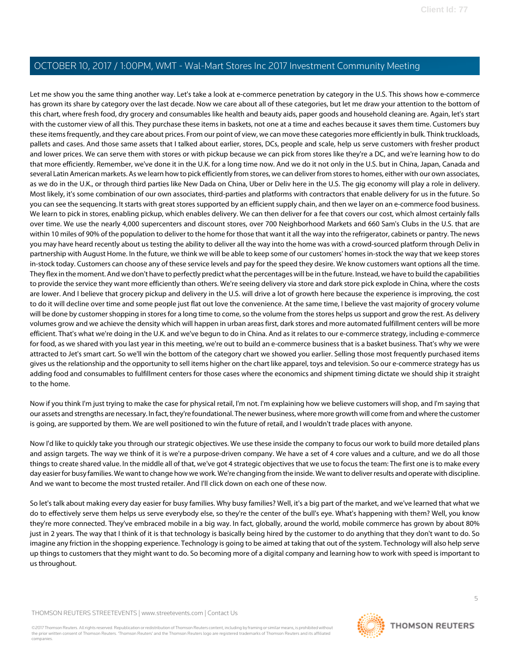Let me show you the same thing another way. Let's take a look at e-commerce penetration by category in the U.S. This shows how e-commerce has grown its share by category over the last decade. Now we care about all of these categories, but let me draw your attention to the bottom of this chart, where fresh food, dry grocery and consumables like health and beauty aids, paper goods and household cleaning are. Again, let's start with the customer view of all this. They purchase these items in baskets, not one at a time and eaches because it saves them time. Customers buy these items frequently, and they care about prices. From our point of view, we can move these categories more efficiently in bulk. Think truckloads, pallets and cases. And those same assets that I talked about earlier, stores, DCs, people and scale, help us serve customers with fresher product and lower prices. We can serve them with stores or with pickup because we can pick from stores like they're a DC, and we're learning how to do that more efficiently. Remember, we've done it in the U.K. for a long time now. And we do it not only in the U.S. but in China, Japan, Canada and several Latin American markets. As we learn how to pick efficiently from stores, we can deliver from stores to homes, either with our own associates, as we do in the U.K., or through third parties like New Dada on China, Uber or Deliv here in the U.S. The gig economy will play a role in delivery. Most likely, it's some combination of our own associates, third-parties and platforms with contractors that enable delivery for us in the future. So you can see the sequencing. It starts with great stores supported by an efficient supply chain, and then we layer on an e-commerce food business. We learn to pick in stores, enabling pickup, which enables delivery. We can then deliver for a fee that covers our cost, which almost certainly falls over time. We use the nearly 4,000 supercenters and discount stores, over 700 Neighborhood Markets and 660 Sam's Clubs in the U.S. that are within 10 miles of 90% of the population to deliver to the home for those that want it all the way into the refrigerator, cabinets or pantry. The news you may have heard recently about us testing the ability to deliver all the way into the home was with a crowd-sourced platform through Deliv in partnership with August Home. In the future, we think we will be able to keep some of our customers' homes in-stock the way that we keep stores in-stock today. Customers can choose any of these service levels and pay for the speed they desire. We know customers want options all the time. They flex in the moment. And we don't have to perfectly predict what the percentages will be in the future. Instead, we have to build the capabilities to provide the service they want more efficiently than others. We're seeing delivery via store and dark store pick explode in China, where the costs are lower. And I believe that grocery pickup and delivery in the U.S. will drive a lot of growth here because the experience is improving, the cost to do it will decline over time and some people just flat out love the convenience. At the same time, I believe the vast majority of grocery volume will be done by customer shopping in stores for a long time to come, so the volume from the stores helps us support and grow the rest. As delivery volumes grow and we achieve the density which will happen in urban areas first, dark stores and more automated fulfillment centers will be more efficient. That's what we're doing in the U.K. and we've begun to do in China. And as it relates to our e-commerce strategy, including e-commerce for food, as we shared with you last year in this meeting, we're out to build an e-commerce business that is a basket business. That's why we were attracted to Jet's smart cart. So we'll win the bottom of the category chart we showed you earlier. Selling those most frequently purchased items gives us the relationship and the opportunity to sell items higher on the chart like apparel, toys and television. So our e-commerce strategy has us adding food and consumables to fulfillment centers for those cases where the economics and shipment timing dictate we should ship it straight to the home.

Now if you think I'm just trying to make the case for physical retail, I'm not. I'm explaining how we believe customers will shop, and I'm saying that our assets and strengths are necessary. In fact, they're foundational. The newer business, where more growth will come from and where the customer is going, are supported by them. We are well positioned to win the future of retail, and I wouldn't trade places with anyone.

Now I'd like to quickly take you through our strategic objectives. We use these inside the company to focus our work to build more detailed plans and assign targets. The way we think of it is we're a purpose-driven company. We have a set of 4 core values and a culture, and we do all those things to create shared value. In the middle all of that, we've got 4 strategic objectives that we use to focus the team: The first one is to make every day easier for busy families. We want to change how we work. We're changing from the inside. We want to deliver results and operate with discipline. And we want to become the most trusted retailer. And I'll click down on each one of these now.

So let's talk about making every day easier for busy families. Why busy families? Well, it's a big part of the market, and we've learned that what we do to effectively serve them helps us serve everybody else, so they're the center of the bull's eye. What's happening with them? Well, you know they're more connected. They've embraced mobile in a big way. In fact, globally, around the world, mobile commerce has grown by about 80% just in 2 years. The way that I think of it is that technology is basically being hired by the customer to do anything that they don't want to do. So imagine any friction in the shopping experience. Technology is going to be aimed at taking that out of the system. Technology will also help serve up things to customers that they might want to do. So becoming more of a digital company and learning how to work with speed is important to us throughout.

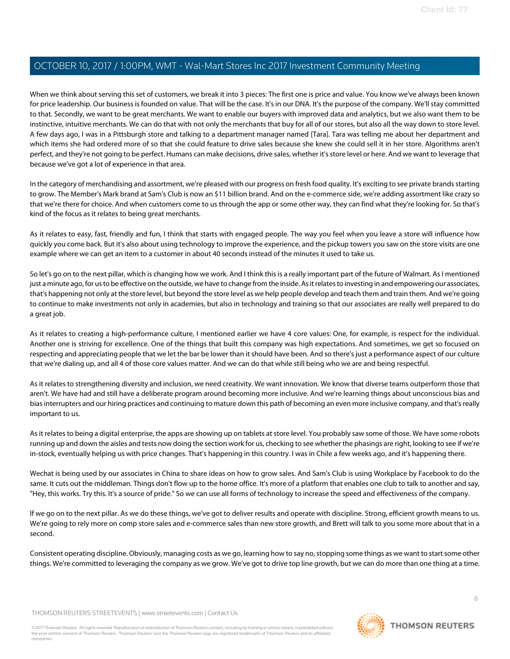When we think about serving this set of customers, we break it into 3 pieces: The first one is price and value. You know we've always been known for price leadership. Our business is founded on value. That will be the case. It's in our DNA. It's the purpose of the company. We'll stay committed to that. Secondly, we want to be great merchants. We want to enable our buyers with improved data and analytics, but we also want them to be instinctive, intuitive merchants. We can do that with not only the merchants that buy for all of our stores, but also all the way down to store level. A few days ago, I was in a Pittsburgh store and talking to a department manager named [Tara]. Tara was telling me about her department and which items she had ordered more of so that she could feature to drive sales because she knew she could sell it in her store. Algorithms aren't perfect, and they're not going to be perfect. Humans can make decisions, drive sales, whether it's store level or here. And we want to leverage that because we've got a lot of experience in that area.

In the category of merchandising and assortment, we're pleased with our progress on fresh food quality. It's exciting to see private brands starting to grow. The Member's Mark brand at Sam's Club is now an \$11 billion brand. And on the e-commerce side, we're adding assortment like crazy so that we're there for choice. And when customers come to us through the app or some other way, they can find what they're looking for. So that's kind of the focus as it relates to being great merchants.

As it relates to easy, fast, friendly and fun, I think that starts with engaged people. The way you feel when you leave a store will influence how quickly you come back. But it's also about using technology to improve the experience, and the pickup towers you saw on the store visits are one example where we can get an item to a customer in about 40 seconds instead of the minutes it used to take us.

So let's go on to the next pillar, which is changing how we work. And I think this is a really important part of the future of Walmart. As I mentioned just a minute ago, for us to be effective on the outside, we have to change from the inside. As it relates to investing in and empowering our associates, that's happening not only at the store level, but beyond the store level as we help people develop and teach them and train them. And we're going to continue to make investments not only in academies, but also in technology and training so that our associates are really well prepared to do a great job.

As it relates to creating a high-performance culture, I mentioned earlier we have 4 core values: One, for example, is respect for the individual. Another one is striving for excellence. One of the things that built this company was high expectations. And sometimes, we get so focused on respecting and appreciating people that we let the bar be lower than it should have been. And so there's just a performance aspect of our culture that we're dialing up, and all 4 of those core values matter. And we can do that while still being who we are and being respectful.

As it relates to strengthening diversity and inclusion, we need creativity. We want innovation. We know that diverse teams outperform those that aren't. We have had and still have a deliberate program around becoming more inclusive. And we're learning things about unconscious bias and bias interrupters and our hiring practices and continuing to mature down this path of becoming an even more inclusive company, and that's really important to us.

As it relates to being a digital enterprise, the apps are showing up on tablets at store level. You probably saw some of those. We have some robots running up and down the aisles and tests now doing the section work for us, checking to see whether the phasings are right, looking to see if we're in-stock, eventually helping us with price changes. That's happening in this country. I was in Chile a few weeks ago, and it's happening there.

Wechat is being used by our associates in China to share ideas on how to grow sales. And Sam's Club is using Workplace by Facebook to do the same. It cuts out the middleman. Things don't flow up to the home office. It's more of a platform that enables one club to talk to another and say, "Hey, this works. Try this. It's a source of pride." So we can use all forms of technology to increase the speed and effectiveness of the company.

If we go on to the next pillar. As we do these things, we've got to deliver results and operate with discipline. Strong, efficient growth means to us. We're going to rely more on comp store sales and e-commerce sales than new store growth, and Brett will talk to you some more about that in a second.

Consistent operating discipline. Obviously, managing costs as we go, learning how to say no, stopping some things as we want to start some other things. We're committed to leveraging the company as we grow. We've got to drive top line growth, but we can do more than one thing at a time.

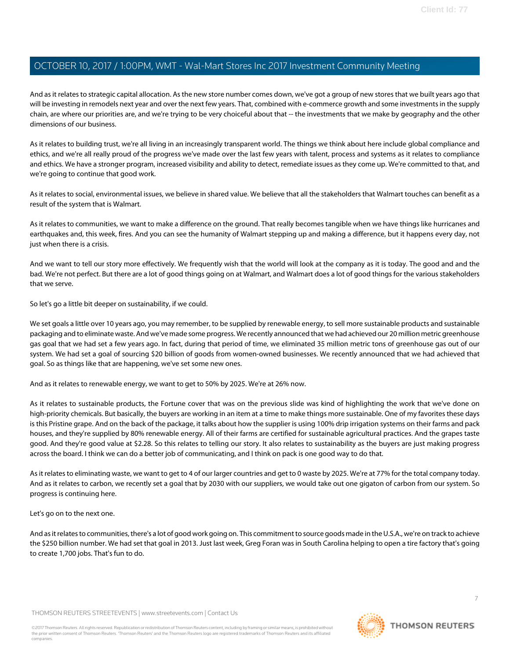And as it relates to strategic capital allocation. As the new store number comes down, we've got a group of new stores that we built years ago that will be investing in remodels next year and over the next few years. That, combined with e-commerce growth and some investments in the supply chain, are where our priorities are, and we're trying to be very choiceful about that -- the investments that we make by geography and the other dimensions of our business.

As it relates to building trust, we're all living in an increasingly transparent world. The things we think about here include global compliance and ethics, and we're all really proud of the progress we've made over the last few years with talent, process and systems as it relates to compliance and ethics. We have a stronger program, increased visibility and ability to detect, remediate issues as they come up. We're committed to that, and we're going to continue that good work.

As it relates to social, environmental issues, we believe in shared value. We believe that all the stakeholders that Walmart touches can benefit as a result of the system that is Walmart.

As it relates to communities, we want to make a difference on the ground. That really becomes tangible when we have things like hurricanes and earthquakes and, this week, fires. And you can see the humanity of Walmart stepping up and making a difference, but it happens every day, not just when there is a crisis.

And we want to tell our story more effectively. We frequently wish that the world will look at the company as it is today. The good and and the bad. We're not perfect. But there are a lot of good things going on at Walmart, and Walmart does a lot of good things for the various stakeholders that we serve.

So let's go a little bit deeper on sustainability, if we could.

We set goals a little over 10 years ago, you may remember, to be supplied by renewable energy, to sell more sustainable products and sustainable packaging and to eliminate waste. And we've made some progress. We recently announced that we had achieved our 20 million metric greenhouse gas goal that we had set a few years ago. In fact, during that period of time, we eliminated 35 million metric tons of greenhouse gas out of our system. We had set a goal of sourcing \$20 billion of goods from women-owned businesses. We recently announced that we had achieved that goal. So as things like that are happening, we've set some new ones.

And as it relates to renewable energy, we want to get to 50% by 2025. We're at 26% now.

As it relates to sustainable products, the Fortune cover that was on the previous slide was kind of highlighting the work that we've done on high-priority chemicals. But basically, the buyers are working in an item at a time to make things more sustainable. One of my favorites these days is this Pristine grape. And on the back of the package, it talks about how the supplier is using 100% drip irrigation systems on their farms and pack houses, and they're supplied by 80% renewable energy. All of their farms are certified for sustainable agricultural practices. And the grapes taste good. And they're good value at \$2.28. So this relates to telling our story. It also relates to sustainability as the buyers are just making progress across the board. I think we can do a better job of communicating, and I think on pack is one good way to do that.

As it relates to eliminating waste, we want to get to 4 of our larger countries and get to 0 waste by 2025. We're at 77% for the total company today. And as it relates to carbon, we recently set a goal that by 2030 with our suppliers, we would take out one gigaton of carbon from our system. So progress is continuing here.

Let's go on to the next one.

And as it relates to communities, there's a lot of good work going on. This commitment to source goods made in the U.S.A., we're on track to achieve the \$250 billion number. We had set that goal in 2013. Just last week, Greg Foran was in South Carolina helping to open a tire factory that's going to create 1,700 jobs. That's fun to do.

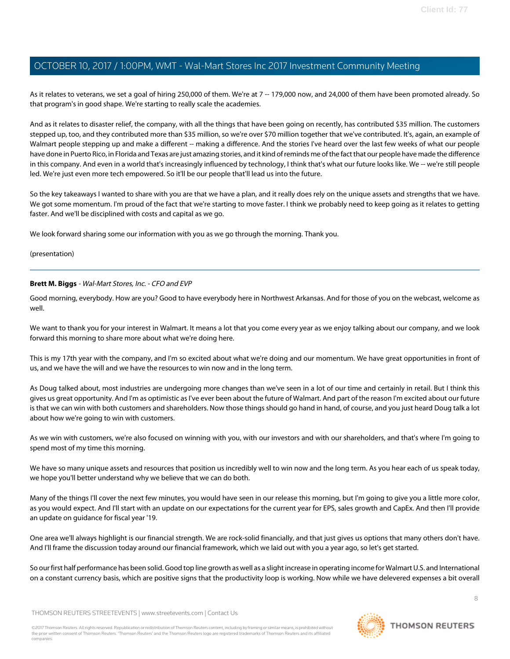As it relates to veterans, we set a goal of hiring 250,000 of them. We're at 7 -- 179,000 now, and 24,000 of them have been promoted already. So that program's in good shape. We're starting to really scale the academies.

And as it relates to disaster relief, the company, with all the things that have been going on recently, has contributed \$35 million. The customers stepped up, too, and they contributed more than \$35 million, so we're over \$70 million together that we've contributed. It's, again, an example of Walmart people stepping up and make a different -- making a difference. And the stories I've heard over the last few weeks of what our people have done in Puerto Rico, in Florida and Texas are just amazing stories, and it kind of reminds me of the fact that our people have made the difference in this company. And even in a world that's increasingly influenced by technology, I think that's what our future looks like. We -- we're still people led. We're just even more tech empowered. So it'll be our people that'll lead us into the future.

So the key takeaways I wanted to share with you are that we have a plan, and it really does rely on the unique assets and strengths that we have. We got some momentum. I'm proud of the fact that we're starting to move faster. I think we probably need to keep going as it relates to getting faster. And we'll be disciplined with costs and capital as we go.

We look forward sharing some our information with you as we go through the morning. Thank you.

<span id="page-7-0"></span>(presentation)

#### **Brett M. Biggs** - Wal-Mart Stores, Inc. - CFO and EVP

Good morning, everybody. How are you? Good to have everybody here in Northwest Arkansas. And for those of you on the webcast, welcome as well.

We want to thank you for your interest in Walmart. It means a lot that you come every year as we enjoy talking about our company, and we look forward this morning to share more about what we're doing here.

This is my 17th year with the company, and I'm so excited about what we're doing and our momentum. We have great opportunities in front of us, and we have the will and we have the resources to win now and in the long term.

As Doug talked about, most industries are undergoing more changes than we've seen in a lot of our time and certainly in retail. But I think this gives us great opportunity. And I'm as optimistic as I've ever been about the future of Walmart. And part of the reason I'm excited about our future is that we can win with both customers and shareholders. Now those things should go hand in hand, of course, and you just heard Doug talk a lot about how we're going to win with customers.

As we win with customers, we're also focused on winning with you, with our investors and with our shareholders, and that's where I'm going to spend most of my time this morning.

We have so many unique assets and resources that position us incredibly well to win now and the long term. As you hear each of us speak today, we hope you'll better understand why we believe that we can do both.

Many of the things I'll cover the next few minutes, you would have seen in our release this morning, but I'm going to give you a little more color, as you would expect. And I'll start with an update on our expectations for the current year for EPS, sales growth and CapEx. And then I'll provide an update on guidance for fiscal year '19.

One area we'll always highlight is our financial strength. We are rock-solid financially, and that just gives us options that many others don't have. And I'll frame the discussion today around our financial framework, which we laid out with you a year ago, so let's get started.

So our first half performance has been solid. Good top line growth as well as a slight increase in operating income for Walmart U.S. and International on a constant currency basis, which are positive signs that the productivity loop is working. Now while we have delevered expenses a bit overall

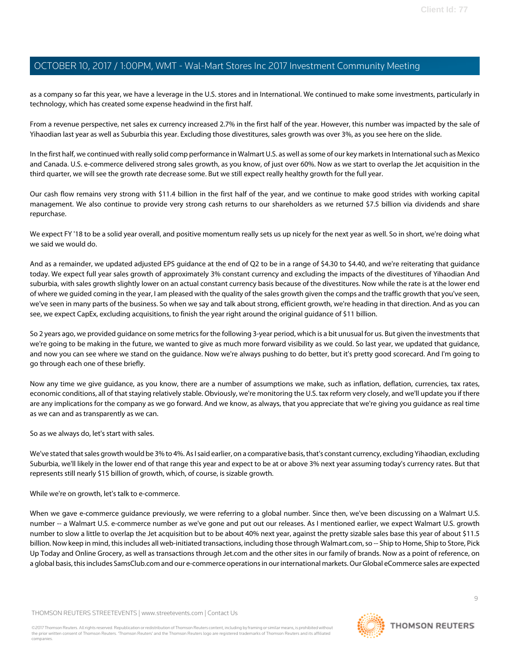as a company so far this year, we have a leverage in the U.S. stores and in International. We continued to make some investments, particularly in technology, which has created some expense headwind in the first half.

From a revenue perspective, net sales ex currency increased 2.7% in the first half of the year. However, this number was impacted by the sale of Yihaodian last year as well as Suburbia this year. Excluding those divestitures, sales growth was over 3%, as you see here on the slide.

In the first half, we continued with really solid comp performance in Walmart U.S. as well as some of our key markets in International such as Mexico and Canada. U.S. e-commerce delivered strong sales growth, as you know, of just over 60%. Now as we start to overlap the Jet acquisition in the third quarter, we will see the growth rate decrease some. But we still expect really healthy growth for the full year.

Our cash flow remains very strong with \$11.4 billion in the first half of the year, and we continue to make good strides with working capital management. We also continue to provide very strong cash returns to our shareholders as we returned \$7.5 billion via dividends and share repurchase.

We expect FY '18 to be a solid year overall, and positive momentum really sets us up nicely for the next year as well. So in short, we're doing what we said we would do.

And as a remainder, we updated adjusted EPS guidance at the end of Q2 to be in a range of \$4.30 to \$4.40, and we're reiterating that guidance today. We expect full year sales growth of approximately 3% constant currency and excluding the impacts of the divestitures of Yihaodian And suburbia, with sales growth slightly lower on an actual constant currency basis because of the divestitures. Now while the rate is at the lower end of where we guided coming in the year, I am pleased with the quality of the sales growth given the comps and the traffic growth that you've seen, we've seen in many parts of the business. So when we say and talk about strong, efficient growth, we're heading in that direction. And as you can see, we expect CapEx, excluding acquisitions, to finish the year right around the original guidance of \$11 billion.

So 2 years ago, we provided guidance on some metrics for the following 3-year period, which is a bit unusual for us. But given the investments that we're going to be making in the future, we wanted to give as much more forward visibility as we could. So last year, we updated that guidance, and now you can see where we stand on the guidance. Now we're always pushing to do better, but it's pretty good scorecard. And I'm going to go through each one of these briefly.

Now any time we give guidance, as you know, there are a number of assumptions we make, such as inflation, deflation, currencies, tax rates, economic conditions, all of that staying relatively stable. Obviously, we're monitoring the U.S. tax reform very closely, and we'll update you if there are any implications for the company as we go forward. And we know, as always, that you appreciate that we're giving you guidance as real time as we can and as transparently as we can.

So as we always do, let's start with sales.

We've stated that sales growth would be 3% to 4%. As I said earlier, on a comparative basis, that's constant currency, excluding Yihaodian, excluding Suburbia, we'll likely in the lower end of that range this year and expect to be at or above 3% next year assuming today's currency rates. But that represents still nearly \$15 billion of growth, which, of course, is sizable growth.

While we're on growth, let's talk to e-commerce.

When we gave e-commerce guidance previously, we were referring to a global number. Since then, we've been discussing on a Walmart U.S. number -- a Walmart U.S. e-commerce number as we've gone and put out our releases. As I mentioned earlier, we expect Walmart U.S. growth number to slow a little to overlap the Jet acquisition but to be about 40% next year, against the pretty sizable sales base this year of about \$11.5 billion. Now keep in mind, this includes all web-initiated transactions, including those through Walmart.com, so -- Ship to Home, Ship to Store, Pick Up Today and Online Grocery, as well as transactions through Jet.com and the other sites in our family of brands. Now as a point of reference, on a global basis, this includes SamsClub.com and our e-commerce operations in our international markets. Our Global eCommerce sales are expected

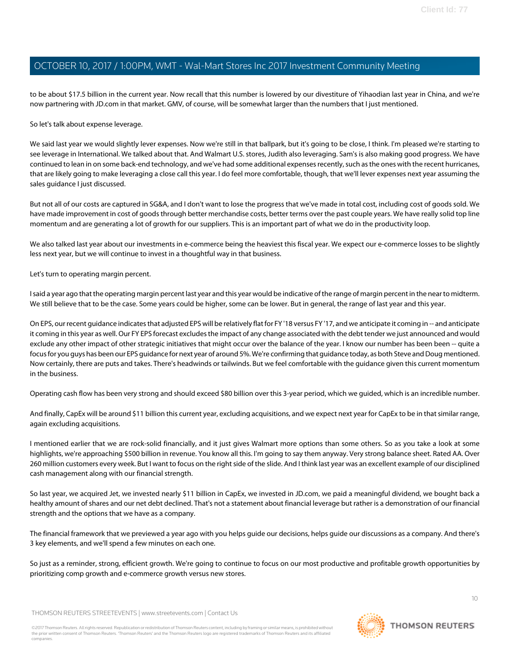to be about \$17.5 billion in the current year. Now recall that this number is lowered by our divestiture of Yihaodian last year in China, and we're now partnering with JD.com in that market. GMV, of course, will be somewhat larger than the numbers that I just mentioned.

So let's talk about expense leverage.

We said last year we would slightly lever expenses. Now we're still in that ballpark, but it's going to be close, I think. I'm pleased we're starting to see leverage in International. We talked about that. And Walmart U.S. stores, Judith also leveraging. Sam's is also making good progress. We have continued to lean in on some back-end technology, and we've had some additional expenses recently, such as the ones with the recent hurricanes, that are likely going to make leveraging a close call this year. I do feel more comfortable, though, that we'll lever expenses next year assuming the sales guidance I just discussed.

But not all of our costs are captured in SG&A, and I don't want to lose the progress that we've made in total cost, including cost of goods sold. We have made improvement in cost of goods through better merchandise costs, better terms over the past couple years. We have really solid top line momentum and are generating a lot of growth for our suppliers. This is an important part of what we do in the productivity loop.

We also talked last year about our investments in e-commerce being the heaviest this fiscal year. We expect our e-commerce losses to be slightly less next year, but we will continue to invest in a thoughtful way in that business.

Let's turn to operating margin percent.

I said a year ago that the operating margin percent last year and this year would be indicative of the range of margin percent in the near to midterm. We still believe that to be the case. Some years could be higher, some can be lower. But in general, the range of last year and this year.

On EPS, our recent guidance indicates that adjusted EPS will be relatively flat for FY '18 versus FY '17, and we anticipate it coming in -- and anticipate it coming in this year as well. Our FY EPS forecast excludes the impact of any change associated with the debt tender we just announced and would exclude any other impact of other strategic initiatives that might occur over the balance of the year. I know our number has been been -- quite a focus for you guys has been our EPS guidance for next year of around 5%. We're confirming that guidance today, as both Steve and Doug mentioned. Now certainly, there are puts and takes. There's headwinds or tailwinds. But we feel comfortable with the guidance given this current momentum in the business.

Operating cash flow has been very strong and should exceed \$80 billion over this 3-year period, which we guided, which is an incredible number.

And finally, CapEx will be around \$11 billion this current year, excluding acquisitions, and we expect next year for CapEx to be in that similar range, again excluding acquisitions.

I mentioned earlier that we are rock-solid financially, and it just gives Walmart more options than some others. So as you take a look at some highlights, we're approaching \$500 billion in revenue. You know all this. I'm going to say them anyway. Very strong balance sheet. Rated AA. Over 260 million customers every week. But I want to focus on the right side of the slide. And I think last year was an excellent example of our disciplined cash management along with our financial strength.

So last year, we acquired Jet, we invested nearly \$11 billion in CapEx, we invested in JD.com, we paid a meaningful dividend, we bought back a healthy amount of shares and our net debt declined. That's not a statement about financial leverage but rather is a demonstration of our financial strength and the options that we have as a company.

The financial framework that we previewed a year ago with you helps guide our decisions, helps guide our discussions as a company. And there's 3 key elements, and we'll spend a few minutes on each one.

So just as a reminder, strong, efficient growth. We're going to continue to focus on our most productive and profitable growth opportunities by prioritizing comp growth and e-commerce growth versus new stores.

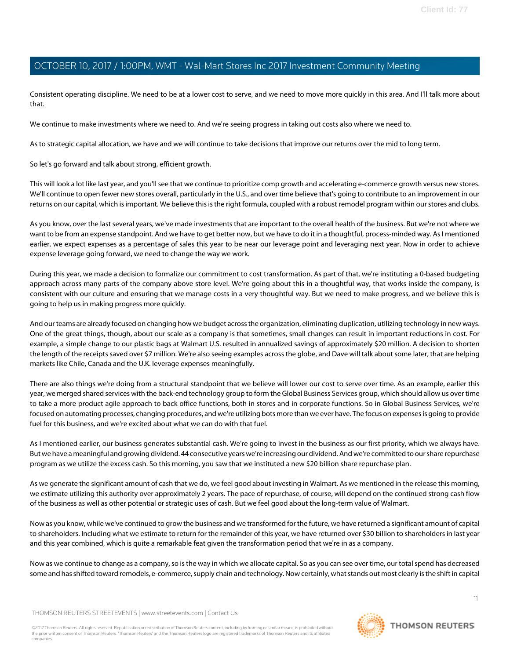Consistent operating discipline. We need to be at a lower cost to serve, and we need to move more quickly in this area. And I'll talk more about that.

We continue to make investments where we need to. And we're seeing progress in taking out costs also where we need to.

As to strategic capital allocation, we have and we will continue to take decisions that improve our returns over the mid to long term.

So let's go forward and talk about strong, efficient growth.

This will look a lot like last year, and you'll see that we continue to prioritize comp growth and accelerating e-commerce growth versus new stores. We'll continue to open fewer new stores overall, particularly in the U.S., and over time believe that's going to contribute to an improvement in our returns on our capital, which is important. We believe this is the right formula, coupled with a robust remodel program within our stores and clubs.

As you know, over the last several years, we've made investments that are important to the overall health of the business. But we're not where we want to be from an expense standpoint. And we have to get better now, but we have to do it in a thoughtful, process-minded way. As I mentioned earlier, we expect expenses as a percentage of sales this year to be near our leverage point and leveraging next year. Now in order to achieve expense leverage going forward, we need to change the way we work.

During this year, we made a decision to formalize our commitment to cost transformation. As part of that, we're instituting a 0-based budgeting approach across many parts of the company above store level. We're going about this in a thoughtful way, that works inside the company, is consistent with our culture and ensuring that we manage costs in a very thoughtful way. But we need to make progress, and we believe this is going to help us in making progress more quickly.

And our teams are already focused on changing how we budget across the organization, eliminating duplication, utilizing technology in new ways. One of the great things, though, about our scale as a company is that sometimes, small changes can result in important reductions in cost. For example, a simple change to our plastic bags at Walmart U.S. resulted in annualized savings of approximately \$20 million. A decision to shorten the length of the receipts saved over \$7 million. We're also seeing examples across the globe, and Dave will talk about some later, that are helping markets like Chile, Canada and the U.K. leverage expenses meaningfully.

There are also things we're doing from a structural standpoint that we believe will lower our cost to serve over time. As an example, earlier this year, we merged shared services with the back-end technology group to form the Global Business Services group, which should allow us over time to take a more product agile approach to back office functions, both in stores and in corporate functions. So in Global Business Services, we're focused on automating processes, changing procedures, and we're utilizing bots more than we ever have. The focus on expenses is going to provide fuel for this business, and we're excited about what we can do with that fuel.

As I mentioned earlier, our business generates substantial cash. We're going to invest in the business as our first priority, which we always have. But we have a meaningful and growing dividend. 44 consecutive years we're increasing our dividend. And we're committed to our share repurchase program as we utilize the excess cash. So this morning, you saw that we instituted a new \$20 billion share repurchase plan.

As we generate the significant amount of cash that we do, we feel good about investing in Walmart. As we mentioned in the release this morning, we estimate utilizing this authority over approximately 2 years. The pace of repurchase, of course, will depend on the continued strong cash flow of the business as well as other potential or strategic uses of cash. But we feel good about the long-term value of Walmart.

Now as you know, while we've continued to grow the business and we transformed for the future, we have returned a significant amount of capital to shareholders. Including what we estimate to return for the remainder of this year, we have returned over \$30 billion to shareholders in last year and this year combined, which is quite a remarkable feat given the transformation period that we're in as a company.

Now as we continue to change as a company, so is the way in which we allocate capital. So as you can see over time, our total spend has decreased some and has shifted toward remodels, e-commerce, supply chain and technology. Now certainly, what stands out most clearly is the shift in capital

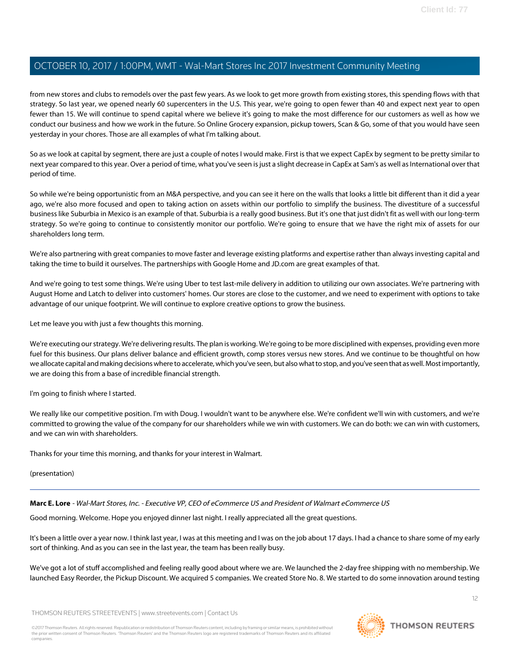from new stores and clubs to remodels over the past few years. As we look to get more growth from existing stores, this spending flows with that strategy. So last year, we opened nearly 60 supercenters in the U.S. This year, we're going to open fewer than 40 and expect next year to open fewer than 15. We will continue to spend capital where we believe it's going to make the most difference for our customers as well as how we conduct our business and how we work in the future. So Online Grocery expansion, pickup towers, Scan & Go, some of that you would have seen yesterday in your chores. Those are all examples of what I'm talking about.

So as we look at capital by segment, there are just a couple of notes I would make. First is that we expect CapEx by segment to be pretty similar to next year compared to this year. Over a period of time, what you've seen is just a slight decrease in CapEx at Sam's as well as International over that period of time.

So while we're being opportunistic from an M&A perspective, and you can see it here on the walls that looks a little bit different than it did a year ago, we're also more focused and open to taking action on assets within our portfolio to simplify the business. The divestiture of a successful business like Suburbia in Mexico is an example of that. Suburbia is a really good business. But it's one that just didn't fit as well with our long-term strategy. So we're going to continue to consistently monitor our portfolio. We're going to ensure that we have the right mix of assets for our shareholders long term.

We're also partnering with great companies to move faster and leverage existing platforms and expertise rather than always investing capital and taking the time to build it ourselves. The partnerships with Google Home and JD.com are great examples of that.

And we're going to test some things. We're using Uber to test last-mile delivery in addition to utilizing our own associates. We're partnering with August Home and Latch to deliver into customers' homes. Our stores are close to the customer, and we need to experiment with options to take advantage of our unique footprint. We will continue to explore creative options to grow the business.

Let me leave you with just a few thoughts this morning.

We're executing our strategy. We're delivering results. The plan is working. We're going to be more disciplined with expenses, providing even more fuel for this business. Our plans deliver balance and efficient growth, comp stores versus new stores. And we continue to be thoughtful on how we allocate capital and making decisions where to accelerate, which you've seen, but also what to stop, and you've seen that as well. Most importantly, we are doing this from a base of incredible financial strength.

I'm going to finish where I started.

We really like our competitive position. I'm with Doug. I wouldn't want to be anywhere else. We're confident we'll win with customers, and we're committed to growing the value of the company for our shareholders while we win with customers. We can do both: we can win with customers, and we can win with shareholders.

<span id="page-11-0"></span>Thanks for your time this morning, and thanks for your interest in Walmart.

(presentation)

**Marc E. Lore** - Wal-Mart Stores, Inc. - Executive VP, CEO of eCommerce US and President of Walmart eCommerce US

Good morning. Welcome. Hope you enjoyed dinner last night. I really appreciated all the great questions.

It's been a little over a year now. I think last year, I was at this meeting and I was on the job about 17 days. I had a chance to share some of my early sort of thinking. And as you can see in the last year, the team has been really busy.

We've got a lot of stuff accomplished and feeling really good about where we are. We launched the 2-day free shipping with no membership. We launched Easy Reorder, the Pickup Discount. We acquired 5 companies. We created Store No. 8. We started to do some innovation around testing

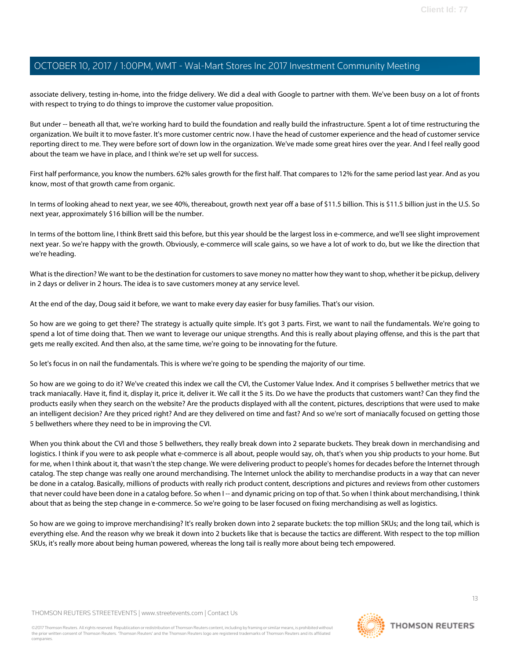associate delivery, testing in-home, into the fridge delivery. We did a deal with Google to partner with them. We've been busy on a lot of fronts with respect to trying to do things to improve the customer value proposition.

But under -- beneath all that, we're working hard to build the foundation and really build the infrastructure. Spent a lot of time restructuring the organization. We built it to move faster. It's more customer centric now. I have the head of customer experience and the head of customer service reporting direct to me. They were before sort of down low in the organization. We've made some great hires over the year. And I feel really good about the team we have in place, and I think we're set up well for success.

First half performance, you know the numbers. 62% sales growth for the first half. That compares to 12% for the same period last year. And as you know, most of that growth came from organic.

In terms of looking ahead to next year, we see 40%, thereabout, growth next year off a base of \$11.5 billion. This is \$11.5 billion just in the U.S. So next year, approximately \$16 billion will be the number.

In terms of the bottom line, I think Brett said this before, but this year should be the largest loss in e-commerce, and we'll see slight improvement next year. So we're happy with the growth. Obviously, e-commerce will scale gains, so we have a lot of work to do, but we like the direction that we're heading.

What is the direction? We want to be the destination for customers to save money no matter how they want to shop, whether it be pickup, delivery in 2 days or deliver in 2 hours. The idea is to save customers money at any service level.

At the end of the day, Doug said it before, we want to make every day easier for busy families. That's our vision.

So how are we going to get there? The strategy is actually quite simple. It's got 3 parts. First, we want to nail the fundamentals. We're going to spend a lot of time doing that. Then we want to leverage our unique strengths. And this is really about playing offense, and this is the part that gets me really excited. And then also, at the same time, we're going to be innovating for the future.

So let's focus in on nail the fundamentals. This is where we're going to be spending the majority of our time.

So how are we going to do it? We've created this index we call the CVI, the Customer Value Index. And it comprises 5 bellwether metrics that we track maniacally. Have it, find it, display it, price it, deliver it. We call it the 5 its. Do we have the products that customers want? Can they find the products easily when they search on the website? Are the products displayed with all the content, pictures, descriptions that were used to make an intelligent decision? Are they priced right? And are they delivered on time and fast? And so we're sort of maniacally focused on getting those 5 bellwethers where they need to be in improving the CVI.

When you think about the CVI and those 5 bellwethers, they really break down into 2 separate buckets. They break down in merchandising and logistics. I think if you were to ask people what e-commerce is all about, people would say, oh, that's when you ship products to your home. But for me, when I think about it, that wasn't the step change. We were delivering product to people's homes for decades before the Internet through catalog. The step change was really one around merchandising. The Internet unlock the ability to merchandise products in a way that can never be done in a catalog. Basically, millions of products with really rich product content, descriptions and pictures and reviews from other customers that never could have been done in a catalog before. So when I-- and dynamic pricing on top of that. So when I think about merchandising, I think about that as being the step change in e-commerce. So we're going to be laser focused on fixing merchandising as well as logistics.

So how are we going to improve merchandising? It's really broken down into 2 separate buckets: the top million SKUs; and the long tail, which is everything else. And the reason why we break it down into 2 buckets like that is because the tactics are different. With respect to the top million SKUs, it's really more about being human powered, whereas the long tail is really more about being tech empowered.

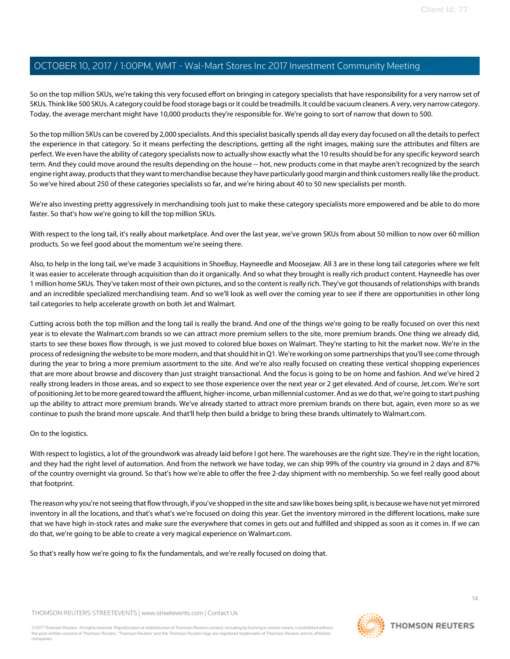So on the top million SKUs, we're taking this very focused effort on bringing in category specialists that have responsibility for a very narrow set of SKUs. Think like 500 SKUs. A category could be food storage bags or it could be treadmills. It could be vacuum cleaners. A very, very narrow category. Today, the average merchant might have 10,000 products they're responsible for. We're going to sort of narrow that down to 500.

So the top million SKUs can be covered by 2,000 specialists. And this specialist basically spends all day every day focused on all the details to perfect the experience in that category. So it means perfecting the descriptions, getting all the right images, making sure the attributes and filters are perfect. We even have the ability of category specialists now to actually show exactly what the 10 results should be for any specific keyword search term. And they could move around the results depending on the house -- hot, new products come in that maybe aren't recognized by the search engine right away, products that they want to merchandise because they have particularly good margin and think customers really like the product. So we've hired about 250 of these categories specialists so far, and we're hiring about 40 to 50 new specialists per month.

We're also investing pretty aggressively in merchandising tools just to make these category specialists more empowered and be able to do more faster. So that's how we're going to kill the top million SKUs.

With respect to the long tail, it's really about marketplace. And over the last year, we've grown SKUs from about 50 million to now over 60 million products. So we feel good about the momentum we're seeing there.

Also, to help in the long tail, we've made 3 acquisitions in ShoeBuy, Hayneedle and Moosejaw. All 3 are in these long tail categories where we felt it was easier to accelerate through acquisition than do it organically. And so what they brought is really rich product content. Hayneedle has over 1 million home SKUs. They've taken most of their own pictures, and so the content is really rich. They've got thousands of relationships with brands and an incredible specialized merchandising team. And so we'll look as well over the coming year to see if there are opportunities in other long tail categories to help accelerate growth on both Jet and Walmart.

Cutting across both the top million and the long tail is really the brand. And one of the things we're going to be really focused on over this next year is to elevate the Walmart.com brands so we can attract more premium sellers to the site, more premium brands. One thing we already did, starts to see these boxes flow through, is we just moved to colored blue boxes on Walmart. They're starting to hit the market now. We're in the process of redesigning the website to be more modern, and that should hit in Q1. We're working on some partnerships that you'll see come through during the year to bring a more premium assortment to the site. And we're also really focused on creating these vertical shopping experiences that are more about browse and discovery than just straight transactional. And the focus is going to be on home and fashion. And we've hired 2 really strong leaders in those areas, and so expect to see those experience over the next year or 2 get elevated. And of course, Jet.com. We're sort of positioning Jet to be more geared toward the affluent, higher-income, urban millennial customer. And as we do that, we're going to start pushing up the ability to attract more premium brands. We've already started to attract more premium brands on there but, again, even more so as we continue to push the brand more upscale. And that'll help then build a bridge to bring these brands ultimately to Walmart.com.

#### On to the logistics.

With respect to logistics, a lot of the groundwork was already laid before I got here. The warehouses are the right size. They're in the right location, and they had the right level of automation. And from the network we have today, we can ship 99% of the country via ground in 2 days and 87% of the country overnight via ground. So that's how we're able to offer the free 2-day shipment with no membership. So we feel really good about that footprint.

The reason why you're not seeing that flow through, if you've shopped in the site and saw like boxes being split, is because we have not yet mirrored inventory in all the locations, and that's what's we're focused on doing this year. Get the inventory mirrored in the different locations, make sure that we have high in-stock rates and make sure the everywhere that comes in gets out and fulfilled and shipped as soon as it comes in. If we can do that, we're going to be able to create a very magical experience on Walmart.com.

So that's really how we're going to fix the fundamentals, and we're really focused on doing that.

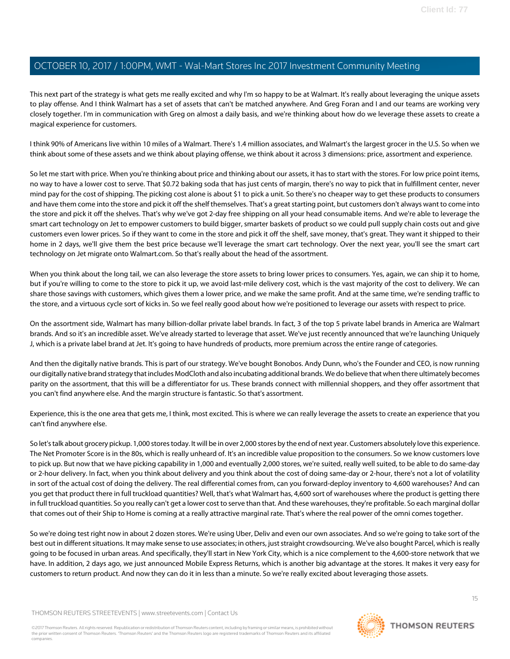This next part of the strategy is what gets me really excited and why I'm so happy to be at Walmart. It's really about leveraging the unique assets to play offense. And I think Walmart has a set of assets that can't be matched anywhere. And Greg Foran and I and our teams are working very closely together. I'm in communication with Greg on almost a daily basis, and we're thinking about how do we leverage these assets to create a magical experience for customers.

I think 90% of Americans live within 10 miles of a Walmart. There's 1.4 million associates, and Walmart's the largest grocer in the U.S. So when we think about some of these assets and we think about playing offense, we think about it across 3 dimensions: price, assortment and experience.

So let me start with price. When you're thinking about price and thinking about our assets, it has to start with the stores. For low price point items, no way to have a lower cost to serve. That \$0.72 baking soda that has just cents of margin, there's no way to pick that in fulfillment center, never mind pay for the cost of shipping. The picking cost alone is about \$1 to pick a unit. So there's no cheaper way to get these products to consumers and have them come into the store and pick it off the shelf themselves. That's a great starting point, but customers don't always want to come into the store and pick it off the shelves. That's why we've got 2-day free shipping on all your head consumable items. And we're able to leverage the smart cart technology on Jet to empower customers to build bigger, smarter baskets of product so we could pull supply chain costs out and give customers even lower prices. So if they want to come in the store and pick it off the shelf, save money, that's great. They want it shipped to their home in 2 days, we'll give them the best price because we'll leverage the smart cart technology. Over the next year, you'll see the smart cart technology on Jet migrate onto Walmart.com. So that's really about the head of the assortment.

When you think about the long tail, we can also leverage the store assets to bring lower prices to consumers. Yes, again, we can ship it to home, but if you're willing to come to the store to pick it up, we avoid last-mile delivery cost, which is the vast majority of the cost to delivery. We can share those savings with customers, which gives them a lower price, and we make the same profit. And at the same time, we're sending traffic to the store, and a virtuous cycle sort of kicks in. So we feel really good about how we're positioned to leverage our assets with respect to price.

On the assortment side, Walmart has many billion-dollar private label brands. In fact, 3 of the top 5 private label brands in America are Walmart brands. And so it's an incredible asset. We've already started to leverage that asset. We've just recently announced that we're launching Uniquely J, which is a private label brand at Jet. It's going to have hundreds of products, more premium across the entire range of categories.

And then the digitally native brands. This is part of our strategy. We've bought Bonobos. Andy Dunn, who's the Founder and CEO, is now running our digitally native brand strategy that includes ModCloth and also incubating additional brands. We do believe that when there ultimately becomes parity on the assortment, that this will be a differentiator for us. These brands connect with millennial shoppers, and they offer assortment that you can't find anywhere else. And the margin structure is fantastic. So that's assortment.

Experience, this is the one area that gets me, I think, most excited. This is where we can really leverage the assets to create an experience that you can't find anywhere else.

So let's talk about grocery pickup. 1,000 stores today. It will be in over 2,000 stores by the end of next year. Customers absolutely love this experience. The Net Promoter Score is in the 80s, which is really unheard of. It's an incredible value proposition to the consumers. So we know customers love to pick up. But now that we have picking capability in 1,000 and eventually 2,000 stores, we're suited, really well suited, to be able to do same-day or 2-hour delivery. In fact, when you think about delivery and you think about the cost of doing same-day or 2-hour, there's not a lot of volatility in sort of the actual cost of doing the delivery. The real differential comes from, can you forward-deploy inventory to 4,600 warehouses? And can you get that product there in full truckload quantities? Well, that's what Walmart has, 4,600 sort of warehouses where the product is getting there in full truckload quantities. So you really can't get a lower cost to serve than that. And these warehouses, they're profitable. So each marginal dollar that comes out of their Ship to Home is coming at a really attractive marginal rate. That's where the real power of the omni comes together.

So we're doing test right now in about 2 dozen stores. We're using Uber, Deliv and even our own associates. And so we're going to take sort of the best out in different situations. It may make sense to use associates; in others, just straight crowdsourcing. We've also bought Parcel, which is really going to be focused in urban areas. And specifically, they'll start in New York City, which is a nice complement to the 4,600-store network that we have. In addition, 2 days ago, we just announced Mobile Express Returns, which is another big advantage at the stores. It makes it very easy for customers to return product. And now they can do it in less than a minute. So we're really excited about leveraging those assets.

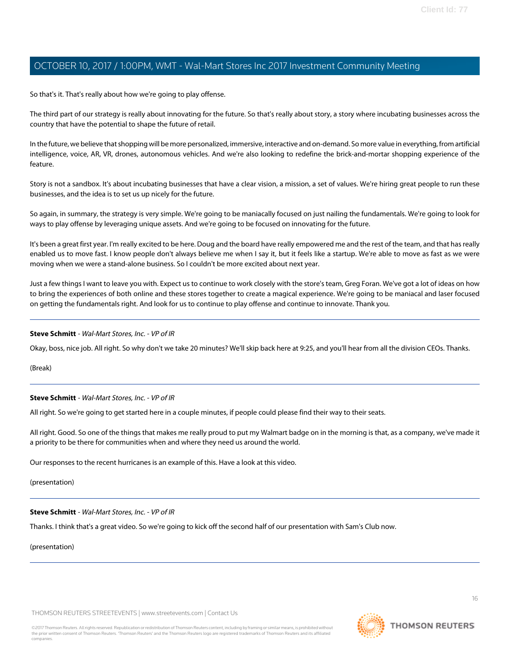So that's it. That's really about how we're going to play offense.

The third part of our strategy is really about innovating for the future. So that's really about story, a story where incubating businesses across the country that have the potential to shape the future of retail.

In the future, we believe that shopping will be more personalized, immersive, interactive and on-demand. So more value in everything, from artificial intelligence, voice, AR, VR, drones, autonomous vehicles. And we're also looking to redefine the brick-and-mortar shopping experience of the feature.

Story is not a sandbox. It's about incubating businesses that have a clear vision, a mission, a set of values. We're hiring great people to run these businesses, and the idea is to set us up nicely for the future.

So again, in summary, the strategy is very simple. We're going to be maniacally focused on just nailing the fundamentals. We're going to look for ways to play offense by leveraging unique assets. And we're going to be focused on innovating for the future.

It's been a great first year. I'm really excited to be here. Doug and the board have really empowered me and the rest of the team, and that has really enabled us to move fast. I know people don't always believe me when I say it, but it feels like a startup. We're able to move as fast as we were moving when we were a stand-alone business. So I couldn't be more excited about next year.

Just a few things I want to leave you with. Expect us to continue to work closely with the store's team, Greg Foran. We've got a lot of ideas on how to bring the experiences of both online and these stores together to create a magical experience. We're going to be maniacal and laser focused on getting the fundamentals right. And look for us to continue to play offense and continue to innovate. Thank you.

#### **Steve Schmitt** - Wal-Mart Stores, Inc. - VP of IR

Okay, boss, nice job. All right. So why don't we take 20 minutes? We'll skip back here at 9:25, and you'll hear from all the division CEOs. Thanks.

(Break)

#### **Steve Schmitt** - Wal-Mart Stores, Inc. - VP of IR

All right. So we're going to get started here in a couple minutes, if people could please find their way to their seats.

All right. Good. So one of the things that makes me really proud to put my Walmart badge on in the morning is that, as a company, we've made it a priority to be there for communities when and where they need us around the world.

Our responses to the recent hurricanes is an example of this. Have a look at this video.

(presentation)

#### **Steve Schmitt** - Wal-Mart Stores, Inc. - VP of IR

Thanks. I think that's a great video. So we're going to kick off the second half of our presentation with Sam's Club now.

(presentation)

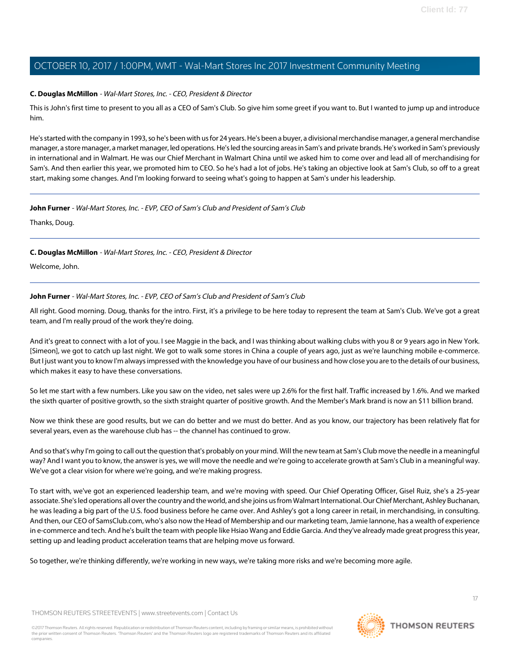#### **C. Douglas McMillon** - Wal-Mart Stores, Inc. - CEO, President & Director

This is John's first time to present to you all as a CEO of Sam's Club. So give him some greet if you want to. But I wanted to jump up and introduce him.

He's started with the company in 1993, so he's been with us for 24 years. He's been a buyer, a divisional merchandise manager, a general merchandise manager, a store manager, a market manager, led operations. He's led the sourcing areas in Sam's and private brands. He's worked in Sam's previously in international and in Walmart. He was our Chief Merchant in Walmart China until we asked him to come over and lead all of merchandising for Sam's. And then earlier this year, we promoted him to CEO. So he's had a lot of jobs. He's taking an objective look at Sam's Club, so off to a great start, making some changes. And I'm looking forward to seeing what's going to happen at Sam's under his leadership.

#### <span id="page-16-0"></span>**John Furner** - Wal-Mart Stores, Inc. - EVP, CEO of Sam's Club and President of Sam's Club

Thanks, Doug.

#### **C. Douglas McMillon** - Wal-Mart Stores, Inc. - CEO, President & Director

Welcome, John.

#### **John Furner** - Wal-Mart Stores, Inc. - EVP, CEO of Sam's Club and President of Sam's Club

All right. Good morning. Doug, thanks for the intro. First, it's a privilege to be here today to represent the team at Sam's Club. We've got a great team, and I'm really proud of the work they're doing.

And it's great to connect with a lot of you. I see Maggie in the back, and I was thinking about walking clubs with you 8 or 9 years ago in New York. [Simeon], we got to catch up last night. We got to walk some stores in China a couple of years ago, just as we're launching mobile e-commerce. But I just want you to know I'm always impressed with the knowledge you have of our business and how close you are to the details of our business, which makes it easy to have these conversations.

So let me start with a few numbers. Like you saw on the video, net sales were up 2.6% for the first half. Traffic increased by 1.6%. And we marked the sixth quarter of positive growth, so the sixth straight quarter of positive growth. And the Member's Mark brand is now an \$11 billion brand.

Now we think these are good results, but we can do better and we must do better. And as you know, our trajectory has been relatively flat for several years, even as the warehouse club has -- the channel has continued to grow.

And so that's why I'm going to call out the question that's probably on your mind. Will the new team at Sam's Club move the needle in a meaningful way? And I want you to know, the answer is yes, we will move the needle and we're going to accelerate growth at Sam's Club in a meaningful way. We've got a clear vision for where we're going, and we're making progress.

To start with, we've got an experienced leadership team, and we're moving with speed. Our Chief Operating Officer, Gisel Ruiz, she's a 25-year associate. She's led operations all over the country and the world, and she joins us from Walmart International. Our Chief Merchant, Ashley Buchanan, he was leading a big part of the U.S. food business before he came over. And Ashley's got a long career in retail, in merchandising, in consulting. And then, our CEO of SamsClub.com, who's also now the Head of Membership and our marketing team, Jamie Iannone, has a wealth of experience in e-commerce and tech. And he's built the team with people like Hsiao Wang and Eddie Garcia. And they've already made great progress this year, setting up and leading product acceleration teams that are helping move us forward.

So together, we're thinking differently, we're working in new ways, we're taking more risks and we're becoming more agile.

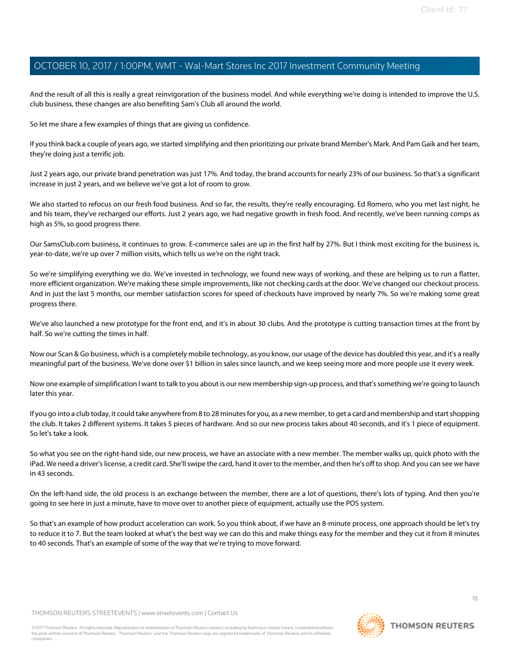And the result of all this is really a great reinvigoration of the business model. And while everything we're doing is intended to improve the U.S. club business, these changes are also benefiting Sam's Club all around the world.

So let me share a few examples of things that are giving us confidence.

If you think back a couple of years ago, we started simplifying and then prioritizing our private brand Member's Mark. And Pam Gaik and her team, they're doing just a terrific job.

Just 2 years ago, our private brand penetration was just 17%. And today, the brand accounts for nearly 23% of our business. So that's a significant increase in just 2 years, and we believe we've got a lot of room to grow.

We also started to refocus on our fresh food business. And so far, the results, they're really encouraging. Ed Romero, who you met last night, he and his team, they've recharged our efforts. Just 2 years ago, we had negative growth in fresh food. And recently, we've been running comps as high as 5%, so good progress there.

Our SamsClub.com business, it continues to grow. E-commerce sales are up in the first half by 27%. But I think most exciting for the business is, year-to-date, we're up over 7 million visits, which tells us we're on the right track.

So we're simplifying everything we do. We've invested in technology, we found new ways of working, and these are helping us to run a flatter, more efficient organization. We're making these simple improvements, like not checking cards at the door. We've changed our checkout process. And in just the last 5 months, our member satisfaction scores for speed of checkouts have improved by nearly 7%. So we're making some great progress there.

We've also launched a new prototype for the front end, and it's in about 30 clubs. And the prototype is cutting transaction times at the front by half. So we're cutting the times in half.

Now our Scan & Go business, which is a completely mobile technology, as you know, our usage of the device has doubled this year, and it's a really meaningful part of the business. We've done over \$1 billion in sales since launch, and we keep seeing more and more people use it every week.

Now one example of simplification I want to talk to you about is our new membership sign-up process, and that's something we're going to launch later this year.

If you go into a club today, it could take anywhere from 8 to 28 minutes for you, as a new member, to get a card and membership and start shopping the club. It takes 2 different systems. It takes 5 pieces of hardware. And so our new process takes about 40 seconds, and it's 1 piece of equipment. So let's take a look.

So what you see on the right-hand side, our new process, we have an associate with a new member. The member walks up, quick photo with the iPad. We need a driver's license, a credit card. She'll swipe the card, hand it over to the member, and then he's off to shop. And you can see we have in 43 seconds.

On the left-hand side, the old process is an exchange between the member, there are a lot of questions, there's lots of typing. And then you're going to see here in just a minute, have to move over to another piece of equipment, actually use the POS system.

So that's an example of how product acceleration can work. So you think about, if we have an 8-minute process, one approach should be let's try to reduce it to 7. But the team looked at what's the best way we can do this and make things easy for the member and they cut it from 8 minutes to 40 seconds. That's an example of some of the way that we're trying to move forward.

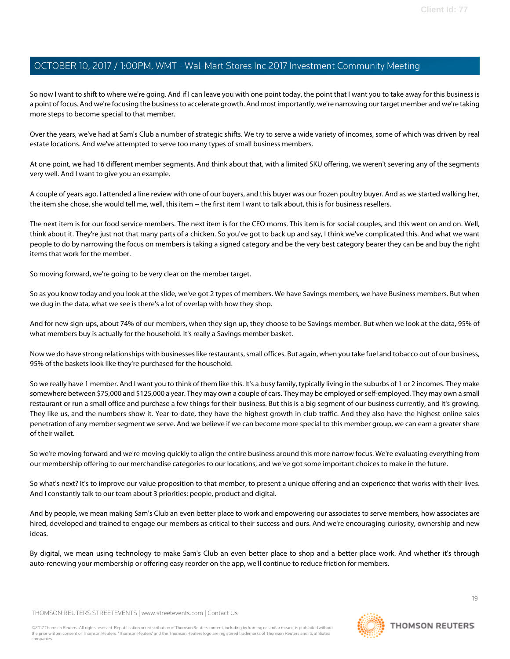So now I want to shift to where we're going. And if I can leave you with one point today, the point that I want you to take away for this business is a point of focus. And we're focusing the business to accelerate growth. And most importantly, we're narrowing our target member and we're taking more steps to become special to that member.

Over the years, we've had at Sam's Club a number of strategic shifts. We try to serve a wide variety of incomes, some of which was driven by real estate locations. And we've attempted to serve too many types of small business members.

At one point, we had 16 different member segments. And think about that, with a limited SKU offering, we weren't severing any of the segments very well. And I want to give you an example.

A couple of years ago, I attended a line review with one of our buyers, and this buyer was our frozen poultry buyer. And as we started walking her, the item she chose, she would tell me, well, this item -- the first item I want to talk about, this is for business resellers.

The next item is for our food service members. The next item is for the CEO moms. This item is for social couples, and this went on and on. Well, think about it. They're just not that many parts of a chicken. So you've got to back up and say, I think we've complicated this. And what we want people to do by narrowing the focus on members is taking a signed category and be the very best category bearer they can be and buy the right items that work for the member.

So moving forward, we're going to be very clear on the member target.

So as you know today and you look at the slide, we've got 2 types of members. We have Savings members, we have Business members. But when we dug in the data, what we see is there's a lot of overlap with how they shop.

And for new sign-ups, about 74% of our members, when they sign up, they choose to be Savings member. But when we look at the data, 95% of what members buy is actually for the household. It's really a Savings member basket.

Now we do have strong relationships with businesses like restaurants, small offices. But again, when you take fuel and tobacco out of our business, 95% of the baskets look like they're purchased for the household.

So we really have 1 member. And I want you to think of them like this. It's a busy family, typically living in the suburbs of 1 or 2 incomes. They make somewhere between \$75,000 and \$125,000 a year. They may own a couple of cars. They may be employed or self-employed. They may own a small restaurant or run a small office and purchase a few things for their business. But this is a big segment of our business currently, and it's growing. They like us, and the numbers show it. Year-to-date, they have the highest growth in club traffic. And they also have the highest online sales penetration of any member segment we serve. And we believe if we can become more special to this member group, we can earn a greater share of their wallet.

So we're moving forward and we're moving quickly to align the entire business around this more narrow focus. We're evaluating everything from our membership offering to our merchandise categories to our locations, and we've got some important choices to make in the future.

So what's next? It's to improve our value proposition to that member, to present a unique offering and an experience that works with their lives. And I constantly talk to our team about 3 priorities: people, product and digital.

And by people, we mean making Sam's Club an even better place to work and empowering our associates to serve members, how associates are hired, developed and trained to engage our members as critical to their success and ours. And we're encouraging curiosity, ownership and new ideas.

By digital, we mean using technology to make Sam's Club an even better place to shop and a better place work. And whether it's through auto-renewing your membership or offering easy reorder on the app, we'll continue to reduce friction for members.

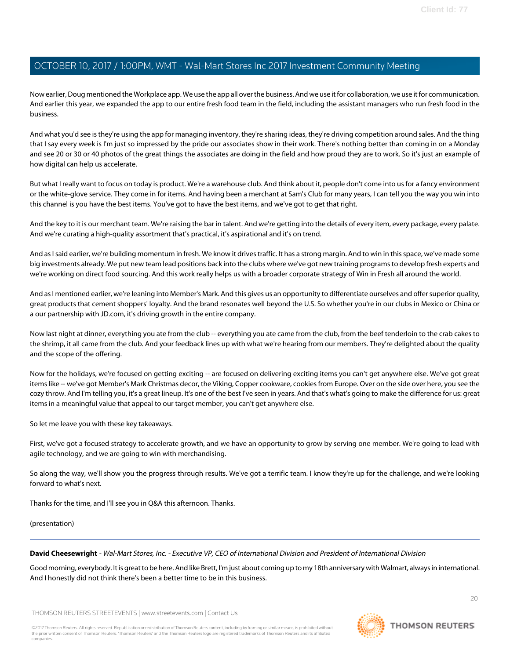Now earlier, Doug mentioned the Workplace app. We use the app all over the business. And we use it for collaboration, we use it for communication. And earlier this year, we expanded the app to our entire fresh food team in the field, including the assistant managers who run fresh food in the business.

And what you'd see is they're using the app for managing inventory, they're sharing ideas, they're driving competition around sales. And the thing that I say every week is I'm just so impressed by the pride our associates show in their work. There's nothing better than coming in on a Monday and see 20 or 30 or 40 photos of the great things the associates are doing in the field and how proud they are to work. So it's just an example of how digital can help us accelerate.

But what I really want to focus on today is product. We're a warehouse club. And think about it, people don't come into us for a fancy environment or the white-glove service. They come in for items. And having been a merchant at Sam's Club for many years, I can tell you the way you win into this channel is you have the best items. You've got to have the best items, and we've got to get that right.

And the key to it is our merchant team. We're raising the bar in talent. And we're getting into the details of every item, every package, every palate. And we're curating a high-quality assortment that's practical, it's aspirational and it's on trend.

And as I said earlier, we're building momentum in fresh. We know it drives traffic. It has a strong margin. And to win in this space, we've made some big investments already. We put new team lead positions back into the clubs where we've got new training programs to develop fresh experts and we're working on direct food sourcing. And this work really helps us with a broader corporate strategy of Win in Fresh all around the world.

And as I mentioned earlier, we're leaning into Member's Mark. And this gives us an opportunity to differentiate ourselves and offer superior quality, great products that cement shoppers' loyalty. And the brand resonates well beyond the U.S. So whether you're in our clubs in Mexico or China or a our partnership with JD.com, it's driving growth in the entire company.

Now last night at dinner, everything you ate from the club -- everything you ate came from the club, from the beef tenderloin to the crab cakes to the shrimp, it all came from the club. And your feedback lines up with what we're hearing from our members. They're delighted about the quality and the scope of the offering.

Now for the holidays, we're focused on getting exciting -- are focused on delivering exciting items you can't get anywhere else. We've got great items like -- we've got Member's Mark Christmas decor, the Viking, Copper cookware, cookies from Europe. Over on the side over here, you see the cozy throw. And I'm telling you, it's a great lineup. It's one of the best I've seen in years. And that's what's going to make the difference for us: great items in a meaningful value that appeal to our target member, you can't get anywhere else.

So let me leave you with these key takeaways.

First, we've got a focused strategy to accelerate growth, and we have an opportunity to grow by serving one member. We're going to lead with agile technology, and we are going to win with merchandising.

So along the way, we'll show you the progress through results. We've got a terrific team. I know they're up for the challenge, and we're looking forward to what's next.

<span id="page-19-0"></span>Thanks for the time, and I'll see you in Q&A this afternoon. Thanks.

(presentation)

**David Cheesewright** - Wal-Mart Stores, Inc. - Executive VP, CEO of International Division and President of International Division

Good morning, everybody. It is great to be here. And like Brett, I'm just about coming up to my 18th anniversary with Walmart, always in international. And I honestly did not think there's been a better time to be in this business.

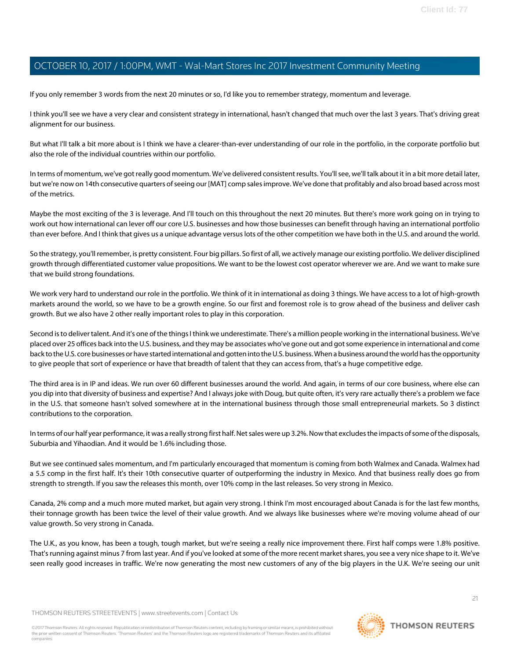If you only remember 3 words from the next 20 minutes or so, I'd like you to remember strategy, momentum and leverage.

I think you'll see we have a very clear and consistent strategy in international, hasn't changed that much over the last 3 years. That's driving great alignment for our business.

But what I'll talk a bit more about is I think we have a clearer-than-ever understanding of our role in the portfolio, in the corporate portfolio but also the role of the individual countries within our portfolio.

In terms of momentum, we've got really good momentum. We've delivered consistent results. You'll see, we'll talk about it in a bit more detail later, but we're now on 14th consecutive quarters of seeing our [MAT] comp sales improve. We've done that profitably and also broad based across most of the metrics.

Maybe the most exciting of the 3 is leverage. And I'll touch on this throughout the next 20 minutes. But there's more work going on in trying to work out how international can lever off our core U.S. businesses and how those businesses can benefit through having an international portfolio than ever before. And I think that gives us a unique advantage versus lots of the other competition we have both in the U.S. and around the world.

So the strategy, you'll remember, is pretty consistent. Four big pillars. So first of all, we actively manage our existing portfolio. We deliver disciplined growth through differentiated customer value propositions. We want to be the lowest cost operator wherever we are. And we want to make sure that we build strong foundations.

We work very hard to understand our role in the portfolio. We think of it in international as doing 3 things. We have access to a lot of high-growth markets around the world, so we have to be a growth engine. So our first and foremost role is to grow ahead of the business and deliver cash growth. But we also have 2 other really important roles to play in this corporation.

Second is to deliver talent. And it's one of the things I think we underestimate. There's a million people working in the international business. We've placed over 25 offices back into the U.S. business, and they may be associates who've gone out and got some experience in international and come back to the U.S. core businesses or have started international and gotten into the U.S. business. When a business around the world has the opportunity to give people that sort of experience or have that breadth of talent that they can access from, that's a huge competitive edge.

The third area is in IP and ideas. We run over 60 different businesses around the world. And again, in terms of our core business, where else can you dip into that diversity of business and expertise? And I always joke with Doug, but quite often, it's very rare actually there's a problem we face in the U.S. that someone hasn't solved somewhere at in the international business through those small entrepreneurial markets. So 3 distinct contributions to the corporation.

In terms of our half year performance, it was a really strong first half. Net sales were up 3.2%. Now that excludes the impacts of some of the disposals, Suburbia and Yihaodian. And it would be 1.6% including those.

But we see continued sales momentum, and I'm particularly encouraged that momentum is coming from both Walmex and Canada. Walmex had a 5.5 comp in the first half. It's their 10th consecutive quarter of outperforming the industry in Mexico. And that business really does go from strength to strength. If you saw the releases this month, over 10% comp in the last releases. So very strong in Mexico.

Canada, 2% comp and a much more muted market, but again very strong. I think I'm most encouraged about Canada is for the last few months, their tonnage growth has been twice the level of their value growth. And we always like businesses where we're moving volume ahead of our value growth. So very strong in Canada.

The U.K., as you know, has been a tough, tough market, but we're seeing a really nice improvement there. First half comps were 1.8% positive. That's running against minus 7 from last year. And if you've looked at some of the more recent market shares, you see a very nice shape to it. We've seen really good increases in traffic. We're now generating the most new customers of any of the big players in the U.K. We're seeing our unit

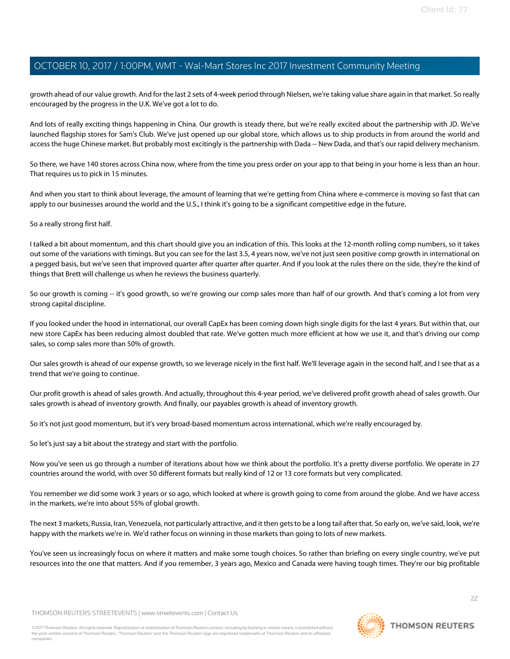growth ahead of our value growth. And for the last 2 sets of 4-week period through Nielsen, we're taking value share again in that market. So really encouraged by the progress in the U.K. We've got a lot to do.

And lots of really exciting things happening in China. Our growth is steady there, but we're really excited about the partnership with JD. We've launched flagship stores for Sam's Club. We've just opened up our global store, which allows us to ship products in from around the world and access the huge Chinese market. But probably most excitingly is the partnership with Dada -- New Dada, and that's our rapid delivery mechanism.

So there, we have 140 stores across China now, where from the time you press order on your app to that being in your home is less than an hour. That requires us to pick in 15 minutes.

And when you start to think about leverage, the amount of learning that we're getting from China where e-commerce is moving so fast that can apply to our businesses around the world and the U.S., I think it's going to be a significant competitive edge in the future.

#### So a really strong first half.

I talked a bit about momentum, and this chart should give you an indication of this. This looks at the 12-month rolling comp numbers, so it takes out some of the variations with timings. But you can see for the last 3.5, 4 years now, we've not just seen positive comp growth in international on a pegged basis, but we've seen that improved quarter after quarter after quarter. And if you look at the rules there on the side, they're the kind of things that Brett will challenge us when he reviews the business quarterly.

So our growth is coming -- it's good growth, so we're growing our comp sales more than half of our growth. And that's coming a lot from very strong capital discipline.

If you looked under the hood in international, our overall CapEx has been coming down high single digits for the last 4 years. But within that, our new store CapEx has been reducing almost doubled that rate. We've gotten much more efficient at how we use it, and that's driving our comp sales, so comp sales more than 50% of growth.

Our sales growth is ahead of our expense growth, so we leverage nicely in the first half. We'll leverage again in the second half, and I see that as a trend that we're going to continue.

Our profit growth is ahead of sales growth. And actually, throughout this 4-year period, we've delivered profit growth ahead of sales growth. Our sales growth is ahead of inventory growth. And finally, our payables growth is ahead of inventory growth.

So it's not just good momentum, but it's very broad-based momentum across international, which we're really encouraged by.

So let's just say a bit about the strategy and start with the portfolio.

Now you've seen us go through a number of iterations about how we think about the portfolio. It's a pretty diverse portfolio. We operate in 27 countries around the world, with over 50 different formats but really kind of 12 or 13 core formats but very complicated.

You remember we did some work 3 years or so ago, which looked at where is growth going to come from around the globe. And we have access in the markets, we're into about 55% of global growth.

The next 3 markets, Russia, Iran, Venezuela, not particularly attractive, and it then gets to be a long tail after that. So early on, we've said, look, we're happy with the markets we're in. We'd rather focus on winning in those markets than going to lots of new markets.

You've seen us increasingly focus on where it matters and make some tough choices. So rather than briefing on every single country, we've put resources into the one that matters. And if you remember, 3 years ago, Mexico and Canada were having tough times. They're our big profitable

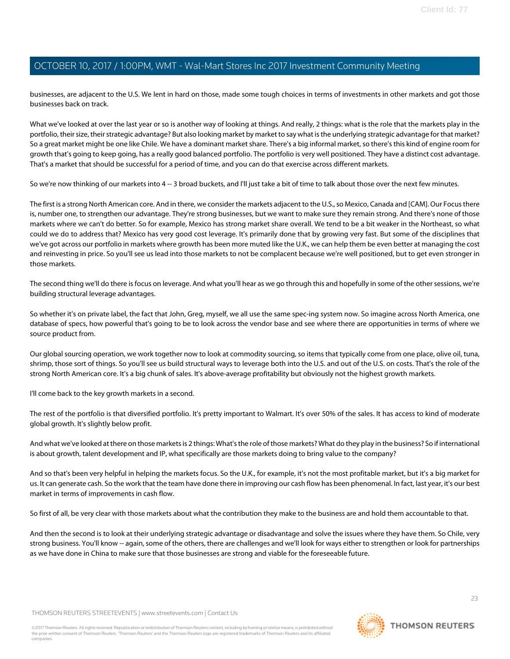businesses, are adjacent to the U.S. We lent in hard on those, made some tough choices in terms of investments in other markets and got those businesses back on track.

What we've looked at over the last year or so is another way of looking at things. And really, 2 things: what is the role that the markets play in the portfolio, their size, their strategic advantage? But also looking market by market to say what is the underlying strategic advantage for that market? So a great market might be one like Chile. We have a dominant market share. There's a big informal market, so there's this kind of engine room for growth that's going to keep going, has a really good balanced portfolio. The portfolio is very well positioned. They have a distinct cost advantage. That's a market that should be successful for a period of time, and you can do that exercise across different markets.

So we're now thinking of our markets into 4 -- 3 broad buckets, and I'll just take a bit of time to talk about those over the next few minutes.

The first is a strong North American core. And in there, we consider the markets adjacent to the U.S., so Mexico, Canada and [CAM]. Our Focus there is, number one, to strengthen our advantage. They're strong businesses, but we want to make sure they remain strong. And there's none of those markets where we can't do better. So for example, Mexico has strong market share overall. We tend to be a bit weaker in the Northeast, so what could we do to address that? Mexico has very good cost leverage. It's primarily done that by growing very fast. But some of the disciplines that we've got across our portfolio in markets where growth has been more muted like the U.K., we can help them be even better at managing the cost and reinvesting in price. So you'll see us lead into those markets to not be complacent because we're well positioned, but to get even stronger in those markets.

The second thing we'll do there is focus on leverage. And what you'll hear as we go through this and hopefully in some of the other sessions, we're building structural leverage advantages.

So whether it's on private label, the fact that John, Greg, myself, we all use the same spec-ing system now. So imagine across North America, one database of specs, how powerful that's going to be to look across the vendor base and see where there are opportunities in terms of where we source product from.

Our global sourcing operation, we work together now to look at commodity sourcing, so items that typically come from one place, olive oil, tuna, shrimp, those sort of things. So you'll see us build structural ways to leverage both into the U.S. and out of the U.S. on costs. That's the role of the strong North American core. It's a big chunk of sales. It's above-average profitability but obviously not the highest growth markets.

I'll come back to the key growth markets in a second.

The rest of the portfolio is that diversified portfolio. It's pretty important to Walmart. It's over 50% of the sales. It has access to kind of moderate global growth. It's slightly below profit.

And what we've looked at there on those markets is 2 things: What's the role of those markets? What do they play in the business? So if international is about growth, talent development and IP, what specifically are those markets doing to bring value to the company?

And so that's been very helpful in helping the markets focus. So the U.K., for example, it's not the most profitable market, but it's a big market for us. It can generate cash. So the work that the team have done there in improving our cash flow has been phenomenal. In fact, last year, it's our best market in terms of improvements in cash flow.

So first of all, be very clear with those markets about what the contribution they make to the business are and hold them accountable to that.

And then the second is to look at their underlying strategic advantage or disadvantage and solve the issues where they have them. So Chile, very strong business. You'll know -- again, some of the others, there are challenges and we'll look for ways either to strengthen or look for partnerships as we have done in China to make sure that those businesses are strong and viable for the foreseeable future.

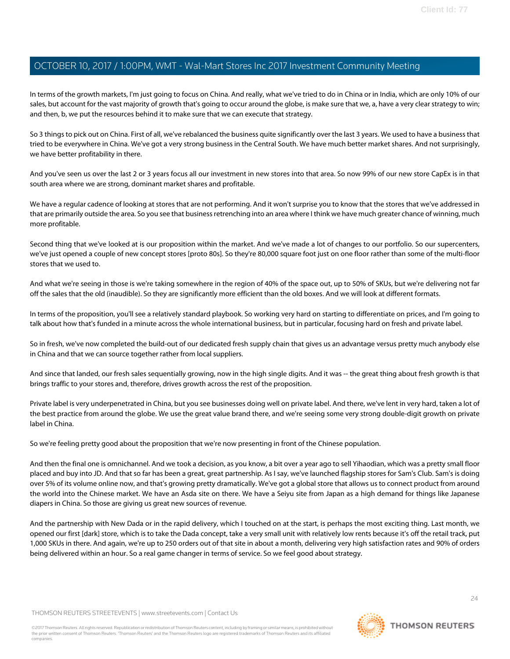In terms of the growth markets, I'm just going to focus on China. And really, what we've tried to do in China or in India, which are only 10% of our sales, but account for the vast majority of growth that's going to occur around the globe, is make sure that we, a, have a very clear strategy to win; and then, b, we put the resources behind it to make sure that we can execute that strategy.

So 3 things to pick out on China. First of all, we've rebalanced the business quite significantly over the last 3 years. We used to have a business that tried to be everywhere in China. We've got a very strong business in the Central South. We have much better market shares. And not surprisingly, we have better profitability in there.

And you've seen us over the last 2 or 3 years focus all our investment in new stores into that area. So now 99% of our new store CapEx is in that south area where we are strong, dominant market shares and profitable.

We have a regular cadence of looking at stores that are not performing. And it won't surprise you to know that the stores that we've addressed in that are primarily outside the area. So you see that business retrenching into an area where I think we have much greater chance of winning, much more profitable.

Second thing that we've looked at is our proposition within the market. And we've made a lot of changes to our portfolio. So our supercenters, we've just opened a couple of new concept stores [proto 80s]. So they're 80,000 square foot just on one floor rather than some of the multi-floor stores that we used to.

And what we're seeing in those is we're taking somewhere in the region of 40% of the space out, up to 50% of SKUs, but we're delivering not far off the sales that the old (inaudible). So they are significantly more efficient than the old boxes. And we will look at different formats.

In terms of the proposition, you'll see a relatively standard playbook. So working very hard on starting to differentiate on prices, and I'm going to talk about how that's funded in a minute across the whole international business, but in particular, focusing hard on fresh and private label.

So in fresh, we've now completed the build-out of our dedicated fresh supply chain that gives us an advantage versus pretty much anybody else in China and that we can source together rather from local suppliers.

And since that landed, our fresh sales sequentially growing, now in the high single digits. And it was -- the great thing about fresh growth is that brings traffic to your stores and, therefore, drives growth across the rest of the proposition.

Private label is very underpenetrated in China, but you see businesses doing well on private label. And there, we've lent in very hard, taken a lot of the best practice from around the globe. We use the great value brand there, and we're seeing some very strong double-digit growth on private label in China.

So we're feeling pretty good about the proposition that we're now presenting in front of the Chinese population.

And then the final one is omnichannel. And we took a decision, as you know, a bit over a year ago to sell Yihaodian, which was a pretty small floor placed and buy into JD. And that so far has been a great, great partnership. As I say, we've launched flagship stores for Sam's Club. Sam's is doing over 5% of its volume online now, and that's growing pretty dramatically. We've got a global store that allows us to connect product from around the world into the Chinese market. We have an Asda site on there. We have a Seiyu site from Japan as a high demand for things like Japanese diapers in China. So those are giving us great new sources of revenue.

And the partnership with New Dada or in the rapid delivery, which I touched on at the start, is perhaps the most exciting thing. Last month, we opened our first [dark] store, which is to take the Dada concept, take a very small unit with relatively low rents because it's off the retail track, put 1,000 SKUs in there. And again, we're up to 250 orders out of that site in about a month, delivering very high satisfaction rates and 90% of orders being delivered within an hour. So a real game changer in terms of service. So we feel good about strategy.

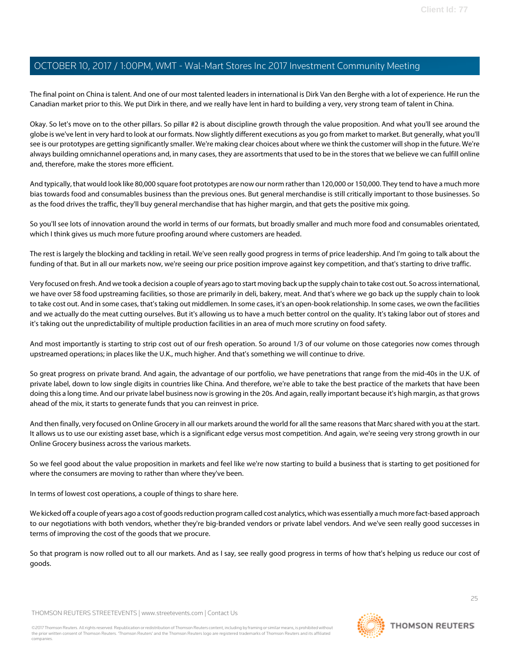The final point on China is talent. And one of our most talented leaders in international is Dirk Van den Berghe with a lot of experience. He run the Canadian market prior to this. We put Dirk in there, and we really have lent in hard to building a very, very strong team of talent in China.

Okay. So let's move on to the other pillars. So pillar #2 is about discipline growth through the value proposition. And what you'll see around the globe is we've lent in very hard to look at our formats. Now slightly different executions as you go from market to market. But generally, what you'll see is our prototypes are getting significantly smaller. We're making clear choices about where we think the customer will shop in the future. We're always building omnichannel operations and, in many cases, they are assortments that used to be in the stores that we believe we can fulfill online and, therefore, make the stores more efficient.

And typically, that would look like 80,000 square foot prototypes are now our norm rather than 120,000 or 150,000. They tend to have a much more bias towards food and consumables business than the previous ones. But general merchandise is still critically important to those businesses. So as the food drives the traffic, they'll buy general merchandise that has higher margin, and that gets the positive mix going.

So you'll see lots of innovation around the world in terms of our formats, but broadly smaller and much more food and consumables orientated, which I think gives us much more future proofing around where customers are headed.

The rest is largely the blocking and tackling in retail. We've seen really good progress in terms of price leadership. And I'm going to talk about the funding of that. But in all our markets now, we're seeing our price position improve against key competition, and that's starting to drive traffic.

Very focused on fresh. And we took a decision a couple of years ago to start moving back up the supply chain to take cost out. So across international, we have over 58 food upstreaming facilities, so those are primarily in deli, bakery, meat. And that's where we go back up the supply chain to look to take cost out. And in some cases, that's taking out middlemen. In some cases, it's an open-book relationship. In some cases, we own the facilities and we actually do the meat cutting ourselves. But it's allowing us to have a much better control on the quality. It's taking labor out of stores and it's taking out the unpredictability of multiple production facilities in an area of much more scrutiny on food safety.

And most importantly is starting to strip cost out of our fresh operation. So around 1/3 of our volume on those categories now comes through upstreamed operations; in places like the U.K., much higher. And that's something we will continue to drive.

So great progress on private brand. And again, the advantage of our portfolio, we have penetrations that range from the mid-40s in the U.K. of private label, down to low single digits in countries like China. And therefore, we're able to take the best practice of the markets that have been doing this a long time. And our private label business now is growing in the 20s. And again, really important because it's high margin, as that grows ahead of the mix, it starts to generate funds that you can reinvest in price.

And then finally, very focused on Online Grocery in all our markets around the world for all the same reasons that Marc shared with you at the start. It allows us to use our existing asset base, which is a significant edge versus most competition. And again, we're seeing very strong growth in our Online Grocery business across the various markets.

So we feel good about the value proposition in markets and feel like we're now starting to build a business that is starting to get positioned for where the consumers are moving to rather than where they've been.

In terms of lowest cost operations, a couple of things to share here.

We kicked off a couple of years ago a cost of goods reduction program called cost analytics, which was essentially a much more fact-based approach to our negotiations with both vendors, whether they're big-branded vendors or private label vendors. And we've seen really good successes in terms of improving the cost of the goods that we procure.

So that program is now rolled out to all our markets. And as I say, see really good progress in terms of how that's helping us reduce our cost of goods.

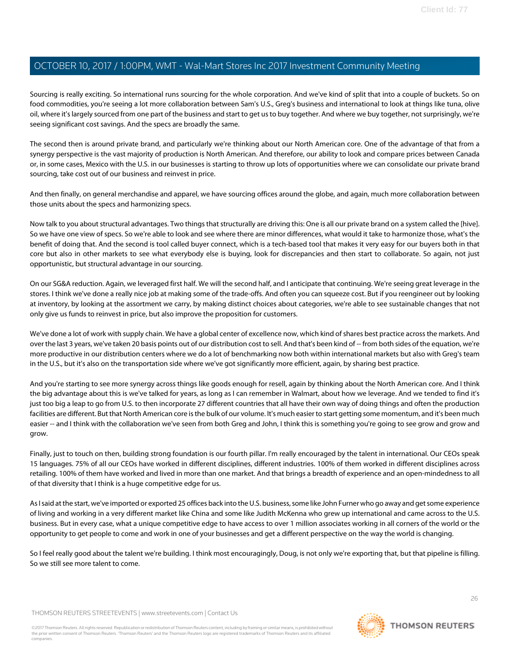Sourcing is really exciting. So international runs sourcing for the whole corporation. And we've kind of split that into a couple of buckets. So on food commodities, you're seeing a lot more collaboration between Sam's U.S., Greg's business and international to look at things like tuna, olive oil, where it's largely sourced from one part of the business and start to get us to buy together. And where we buy together, not surprisingly, we're seeing significant cost savings. And the specs are broadly the same.

The second then is around private brand, and particularly we're thinking about our North American core. One of the advantage of that from a synergy perspective is the vast majority of production is North American. And therefore, our ability to look and compare prices between Canada or, in some cases, Mexico with the U.S. in our businesses is starting to throw up lots of opportunities where we can consolidate our private brand sourcing, take cost out of our business and reinvest in price.

And then finally, on general merchandise and apparel, we have sourcing offices around the globe, and again, much more collaboration between those units about the specs and harmonizing specs.

Now talk to you about structural advantages. Two things that structurally are driving this: One is all our private brand on a system called the [hive]. So we have one view of specs. So we're able to look and see where there are minor differences, what would it take to harmonize those, what's the benefit of doing that. And the second is tool called buyer connect, which is a tech-based tool that makes it very easy for our buyers both in that core but also in other markets to see what everybody else is buying, look for discrepancies and then start to collaborate. So again, not just opportunistic, but structural advantage in our sourcing.

On our SG&A reduction. Again, we leveraged first half. We will the second half, and I anticipate that continuing. We're seeing great leverage in the stores. I think we've done a really nice job at making some of the trade-offs. And often you can squeeze cost. But if you reengineer out by looking at inventory, by looking at the assortment we carry, by making distinct choices about categories, we're able to see sustainable changes that not only give us funds to reinvest in price, but also improve the proposition for customers.

We've done a lot of work with supply chain. We have a global center of excellence now, which kind of shares best practice across the markets. And over the last 3 years, we've taken 20 basis points out of our distribution cost to sell. And that's been kind of -- from both sides of the equation, we're more productive in our distribution centers where we do a lot of benchmarking now both within international markets but also with Greg's team in the U.S., but it's also on the transportation side where we've got significantly more efficient, again, by sharing best practice.

And you're starting to see more synergy across things like goods enough for resell, again by thinking about the North American core. And I think the big advantage about this is we've talked for years, as long as I can remember in Walmart, about how we leverage. And we tended to find it's just too big a leap to go from U.S. to then incorporate 27 different countries that all have their own way of doing things and often the production facilities are different. But that North American core is the bulk of our volume. It's much easier to start getting some momentum, and it's been much easier -- and I think with the collaboration we've seen from both Greg and John, I think this is something you're going to see grow and grow and grow.

Finally, just to touch on then, building strong foundation is our fourth pillar. I'm really encouraged by the talent in international. Our CEOs speak 15 languages. 75% of all our CEOs have worked in different disciplines, different industries. 100% of them worked in different disciplines across retailing. 100% of them have worked and lived in more than one market. And that brings a breadth of experience and an open-mindedness to all of that diversity that I think is a huge competitive edge for us.

As I said at the start, we've imported or exported 25 offices back into the U.S. business, some like John Furner who go away and get some experience of living and working in a very different market like China and some like Judith McKenna who grew up international and came across to the U.S. business. But in every case, what a unique competitive edge to have access to over 1 million associates working in all corners of the world or the opportunity to get people to come and work in one of your businesses and get a different perspective on the way the world is changing.

So I feel really good about the talent we're building. I think most encouragingly, Doug, is not only we're exporting that, but that pipeline is filling. So we still see more talent to come.

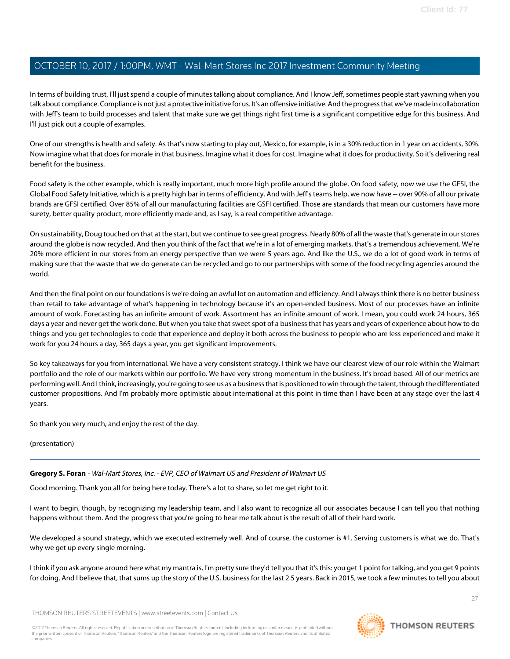In terms of building trust, I'll just spend a couple of minutes talking about compliance. And I know Jeff, sometimes people start yawning when you talk about compliance. Compliance is not just a protective initiative for us. It's an offensive initiative. And the progress that we've made in collaboration with Jeff's team to build processes and talent that make sure we get things right first time is a significant competitive edge for this business. And I'll just pick out a couple of examples.

One of our strengths is health and safety. As that's now starting to play out, Mexico, for example, is in a 30% reduction in 1 year on accidents, 30%. Now imagine what that does for morale in that business. Imagine what it does for cost. Imagine what it does for productivity. So it's delivering real benefit for the business.

Food safety is the other example, which is really important, much more high profile around the globe. On food safety, now we use the GFSI, the Global Food Safety Initiative, which is a pretty high bar in terms of efficiency. And with Jeff's teams help, we now have -- over 90% of all our private brands are GFSI certified. Over 85% of all our manufacturing facilities are GSFI certified. Those are standards that mean our customers have more surety, better quality product, more efficiently made and, as I say, is a real competitive advantage.

On sustainability, Doug touched on that at the start, but we continue to see great progress. Nearly 80% of all the waste that's generate in our stores around the globe is now recycled. And then you think of the fact that we're in a lot of emerging markets, that's a tremendous achievement. We're 20% more efficient in our stores from an energy perspective than we were 5 years ago. And like the U.S., we do a lot of good work in terms of making sure that the waste that we do generate can be recycled and go to our partnerships with some of the food recycling agencies around the world.

And then the final point on our foundations is we're doing an awful lot on automation and efficiency. And I always think there is no better business than retail to take advantage of what's happening in technology because it's an open-ended business. Most of our processes have an infinite amount of work. Forecasting has an infinite amount of work. Assortment has an infinite amount of work. I mean, you could work 24 hours, 365 days a year and never get the work done. But when you take that sweet spot of a business that has years and years of experience about how to do things and you get technologies to code that experience and deploy it both across the business to people who are less experienced and make it work for you 24 hours a day, 365 days a year, you get significant improvements.

So key takeaways for you from international. We have a very consistent strategy. I think we have our clearest view of our role within the Walmart portfolio and the role of our markets within our portfolio. We have very strong momentum in the business. It's broad based. All of our metrics are performing well. And I think, increasingly, you're going to see us as a business that is positioned to win through the talent, through the differentiated customer propositions. And I'm probably more optimistic about international at this point in time than I have been at any stage over the last 4 years.

<span id="page-26-0"></span>So thank you very much, and enjoy the rest of the day.

(presentation)

#### **Gregory S. Foran** - Wal-Mart Stores, Inc. - EVP, CEO of Walmart US and President of Walmart US

Good morning. Thank you all for being here today. There's a lot to share, so let me get right to it.

I want to begin, though, by recognizing my leadership team, and I also want to recognize all our associates because I can tell you that nothing happens without them. And the progress that you're going to hear me talk about is the result of all of their hard work.

We developed a sound strategy, which we executed extremely well. And of course, the customer is #1. Serving customers is what we do. That's why we get up every single morning.

I think if you ask anyone around here what my mantra is, I'm pretty sure they'd tell you that it's this: you get 1 point for talking, and you get 9 points for doing. And I believe that, that sums up the story of the U.S. business for the last 2.5 years. Back in 2015, we took a few minutes to tell you about

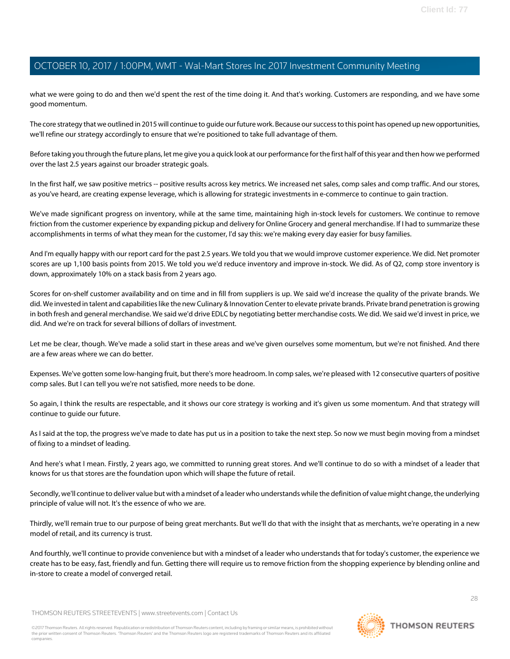what we were going to do and then we'd spent the rest of the time doing it. And that's working. Customers are responding, and we have some good momentum.

The core strategy that we outlined in 2015 will continue to guide our future work. Because our success to this point has opened up new opportunities, we'll refine our strategy accordingly to ensure that we're positioned to take full advantage of them.

Before taking you through the future plans, let me give you a quick look at our performance for the first half of this year and then how we performed over the last 2.5 years against our broader strategic goals.

In the first half, we saw positive metrics -- positive results across key metrics. We increased net sales, comp sales and comp traffic. And our stores, as you've heard, are creating expense leverage, which is allowing for strategic investments in e-commerce to continue to gain traction.

We've made significant progress on inventory, while at the same time, maintaining high in-stock levels for customers. We continue to remove friction from the customer experience by expanding pickup and delivery for Online Grocery and general merchandise. If I had to summarize these accomplishments in terms of what they mean for the customer, I'd say this: we're making every day easier for busy families.

And I'm equally happy with our report card for the past 2.5 years. We told you that we would improve customer experience. We did. Net promoter scores are up 1,100 basis points from 2015. We told you we'd reduce inventory and improve in-stock. We did. As of Q2, comp store inventory is down, approximately 10% on a stack basis from 2 years ago.

Scores for on-shelf customer availability and on time and in fill from suppliers is up. We said we'd increase the quality of the private brands. We did. We invested in talent and capabilities like the new Culinary & Innovation Center to elevate private brands. Private brand penetration is growing in both fresh and general merchandise. We said we'd drive EDLC by negotiating better merchandise costs. We did. We said we'd invest in price, we did. And we're on track for several billions of dollars of investment.

Let me be clear, though. We've made a solid start in these areas and we've given ourselves some momentum, but we're not finished. And there are a few areas where we can do better.

Expenses. We've gotten some low-hanging fruit, but there's more headroom. In comp sales, we're pleased with 12 consecutive quarters of positive comp sales. But I can tell you we're not satisfied, more needs to be done.

So again, I think the results are respectable, and it shows our core strategy is working and it's given us some momentum. And that strategy will continue to guide our future.

As I said at the top, the progress we've made to date has put us in a position to take the next step. So now we must begin moving from a mindset of fixing to a mindset of leading.

And here's what I mean. Firstly, 2 years ago, we committed to running great stores. And we'll continue to do so with a mindset of a leader that knows for us that stores are the foundation upon which will shape the future of retail.

Secondly, we'll continue to deliver value but with a mindset of a leader who understands while the definition of value might change, the underlying principle of value will not. It's the essence of who we are.

Thirdly, we'll remain true to our purpose of being great merchants. But we'll do that with the insight that as merchants, we're operating in a new model of retail, and its currency is trust.

And fourthly, we'll continue to provide convenience but with a mindset of a leader who understands that for today's customer, the experience we create has to be easy, fast, friendly and fun. Getting there will require us to remove friction from the shopping experience by blending online and in-store to create a model of converged retail.

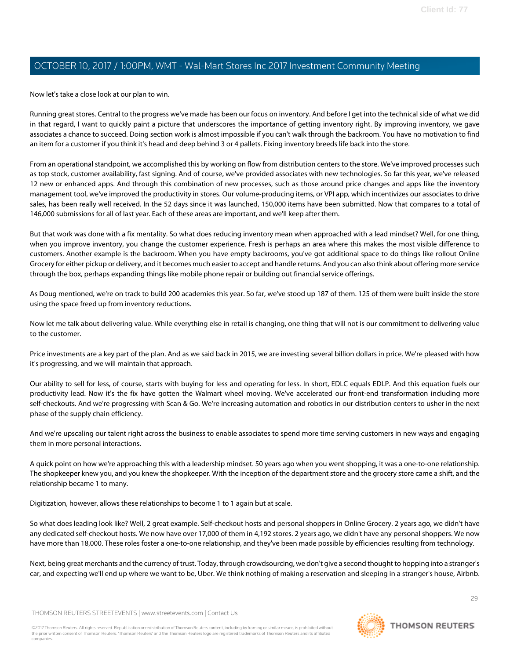Now let's take a close look at our plan to win.

Running great stores. Central to the progress we've made has been our focus on inventory. And before I get into the technical side of what we did in that regard, I want to quickly paint a picture that underscores the importance of getting inventory right. By improving inventory, we gave associates a chance to succeed. Doing section work is almost impossible if you can't walk through the backroom. You have no motivation to find an item for a customer if you think it's head and deep behind 3 or 4 pallets. Fixing inventory breeds life back into the store.

From an operational standpoint, we accomplished this by working on flow from distribution centers to the store. We've improved processes such as top stock, customer availability, fast signing. And of course, we've provided associates with new technologies. So far this year, we've released 12 new or enhanced apps. And through this combination of new processes, such as those around price changes and apps like the inventory management tool, we've improved the productivity in stores. Our volume-producing items, or VPI app, which incentivizes our associates to drive sales, has been really well received. In the 52 days since it was launched, 150,000 items have been submitted. Now that compares to a total of 146,000 submissions for all of last year. Each of these areas are important, and we'll keep after them.

But that work was done with a fix mentality. So what does reducing inventory mean when approached with a lead mindset? Well, for one thing, when you improve inventory, you change the customer experience. Fresh is perhaps an area where this makes the most visible difference to customers. Another example is the backroom. When you have empty backrooms, you've got additional space to do things like rollout Online Grocery for either pickup or delivery, and it becomes much easier to accept and handle returns. And you can also think about offering more service through the box, perhaps expanding things like mobile phone repair or building out financial service offerings.

As Doug mentioned, we're on track to build 200 academies this year. So far, we've stood up 187 of them. 125 of them were built inside the store using the space freed up from inventory reductions.

Now let me talk about delivering value. While everything else in retail is changing, one thing that will not is our commitment to delivering value to the customer.

Price investments are a key part of the plan. And as we said back in 2015, we are investing several billion dollars in price. We're pleased with how it's progressing, and we will maintain that approach.

Our ability to sell for less, of course, starts with buying for less and operating for less. In short, EDLC equals EDLP. And this equation fuels our productivity lead. Now it's the fix have gotten the Walmart wheel moving. We've accelerated our front-end transformation including more self-checkouts. And we're progressing with Scan & Go. We're increasing automation and robotics in our distribution centers to usher in the next phase of the supply chain efficiency.

And we're upscaling our talent right across the business to enable associates to spend more time serving customers in new ways and engaging them in more personal interactions.

A quick point on how we're approaching this with a leadership mindset. 50 years ago when you went shopping, it was a one-to-one relationship. The shopkeeper knew you, and you knew the shopkeeper. With the inception of the department store and the grocery store came a shift, and the relationship became 1 to many.

Digitization, however, allows these relationships to become 1 to 1 again but at scale.

So what does leading look like? Well, 2 great example. Self-checkout hosts and personal shoppers in Online Grocery. 2 years ago, we didn't have any dedicated self-checkout hosts. We now have over 17,000 of them in 4,192 stores. 2 years ago, we didn't have any personal shoppers. We now have more than 18,000. These roles foster a one-to-one relationship, and they've been made possible by efficiencies resulting from technology.

Next, being great merchants and the currency of trust. Today, through crowdsourcing, we don't give a second thought to hopping into a stranger's car, and expecting we'll end up where we want to be, Uber. We think nothing of making a reservation and sleeping in a stranger's house, Airbnb.

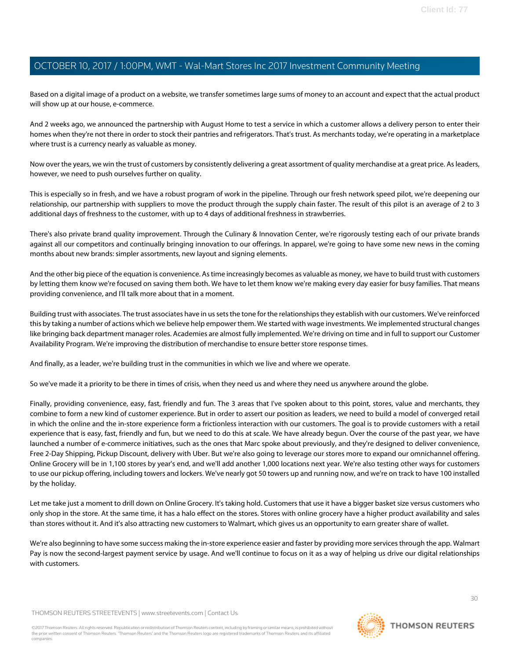Based on a digital image of a product on a website, we transfer sometimes large sums of money to an account and expect that the actual product will show up at our house, e-commerce.

And 2 weeks ago, we announced the partnership with August Home to test a service in which a customer allows a delivery person to enter their homes when they're not there in order to stock their pantries and refrigerators. That's trust. As merchants today, we're operating in a marketplace where trust is a currency nearly as valuable as money.

Now over the years, we win the trust of customers by consistently delivering a great assortment of quality merchandise at a great price. As leaders, however, we need to push ourselves further on quality.

This is especially so in fresh, and we have a robust program of work in the pipeline. Through our fresh network speed pilot, we're deepening our relationship, our partnership with suppliers to move the product through the supply chain faster. The result of this pilot is an average of 2 to 3 additional days of freshness to the customer, with up to 4 days of additional freshness in strawberries.

There's also private brand quality improvement. Through the Culinary & Innovation Center, we're rigorously testing each of our private brands against all our competitors and continually bringing innovation to our offerings. In apparel, we're going to have some new news in the coming months about new brands: simpler assortments, new layout and signing elements.

And the other big piece of the equation is convenience. As time increasingly becomes as valuable as money, we have to build trust with customers by letting them know we're focused on saving them both. We have to let them know we're making every day easier for busy families. That means providing convenience, and I'll talk more about that in a moment.

Building trust with associates. The trust associates have in us sets the tone for the relationships they establish with our customers. We've reinforced this by taking a number of actions which we believe help empower them. We started with wage investments. We implemented structural changes like bringing back department manager roles. Academies are almost fully implemented. We're driving on time and in full to support our Customer Availability Program. We're improving the distribution of merchandise to ensure better store response times.

And finally, as a leader, we're building trust in the communities in which we live and where we operate.

So we've made it a priority to be there in times of crisis, when they need us and where they need us anywhere around the globe.

Finally, providing convenience, easy, fast, friendly and fun. The 3 areas that I've spoken about to this point, stores, value and merchants, they combine to form a new kind of customer experience. But in order to assert our position as leaders, we need to build a model of converged retail in which the online and the in-store experience form a frictionless interaction with our customers. The goal is to provide customers with a retail experience that is easy, fast, friendly and fun, but we need to do this at scale. We have already begun. Over the course of the past year, we have launched a number of e-commerce initiatives, such as the ones that Marc spoke about previously, and they're designed to deliver convenience, Free 2-Day Shipping, Pickup Discount, delivery with Uber. But we're also going to leverage our stores more to expand our omnichannel offering. Online Grocery will be in 1,100 stores by year's end, and we'll add another 1,000 locations next year. We're also testing other ways for customers to use our pickup offering, including towers and lockers. We've nearly got 50 towers up and running now, and we're on track to have 100 installed by the holiday.

Let me take just a moment to drill down on Online Grocery. It's taking hold. Customers that use it have a bigger basket size versus customers who only shop in the store. At the same time, it has a halo effect on the stores. Stores with online grocery have a higher product availability and sales than stores without it. And it's also attracting new customers to Walmart, which gives us an opportunity to earn greater share of wallet.

We're also beginning to have some success making the in-store experience easier and faster by providing more services through the app. Walmart Pay is now the second-largest payment service by usage. And we'll continue to focus on it as a way of helping us drive our digital relationships with customers.

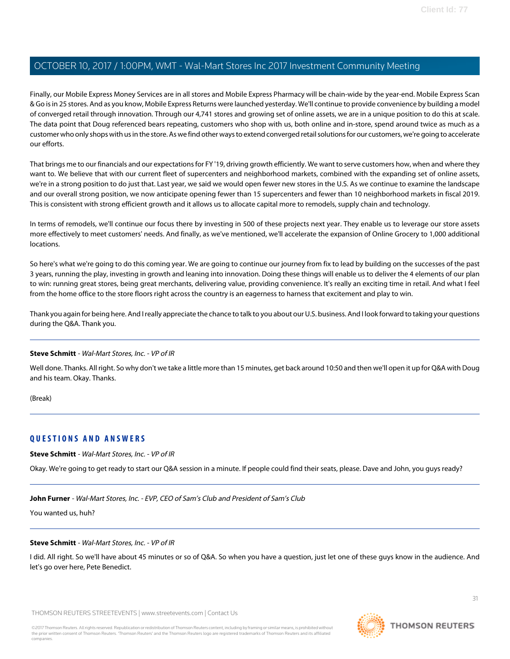Finally, our Mobile Express Money Services are in all stores and Mobile Express Pharmacy will be chain-wide by the year-end. Mobile Express Scan & Go is in 25 stores. And as you know, Mobile Express Returns were launched yesterday. We'll continue to provide convenience by building a model of converged retail through innovation. Through our 4,741 stores and growing set of online assets, we are in a unique position to do this at scale. The data point that Doug referenced bears repeating, customers who shop with us, both online and in-store, spend around twice as much as a customer who only shops with us in the store. As we find other ways to extend converged retail solutions for our customers, we're going to accelerate our efforts.

That brings me to our financials and our expectations for FY '19, driving growth efficiently. We want to serve customers how, when and where they want to. We believe that with our current fleet of supercenters and neighborhood markets, combined with the expanding set of online assets, we're in a strong position to do just that. Last year, we said we would open fewer new stores in the U.S. As we continue to examine the landscape and our overall strong position, we now anticipate opening fewer than 15 supercenters and fewer than 10 neighborhood markets in fiscal 2019. This is consistent with strong efficient growth and it allows us to allocate capital more to remodels, supply chain and technology.

In terms of remodels, we'll continue our focus there by investing in 500 of these projects next year. They enable us to leverage our store assets more effectively to meet customers' needs. And finally, as we've mentioned, we'll accelerate the expansion of Online Grocery to 1,000 additional locations.

So here's what we're going to do this coming year. We are going to continue our journey from fix to lead by building on the successes of the past 3 years, running the play, investing in growth and leaning into innovation. Doing these things will enable us to deliver the 4 elements of our plan to win: running great stores, being great merchants, delivering value, providing convenience. It's really an exciting time in retail. And what I feel from the home office to the store floors right across the country is an eagerness to harness that excitement and play to win.

Thank you again for being here. And I really appreciate the chance to talk to you about our U.S. business. And I look forward to taking your questions during the Q&A. Thank you.

#### **Steve Schmitt** - Wal-Mart Stores, Inc. - VP of IR

Well done. Thanks. All right. So why don't we take a little more than 15 minutes, get back around 10:50 and then we'll open it up for Q&A with Doug and his team. Okay. Thanks.

(Break)

#### **QUESTIONS AND ANSWERS**

**Steve Schmitt** - Wal-Mart Stores, Inc. - VP of IR

Okay. We're going to get ready to start our Q&A session in a minute. If people could find their seats, please. Dave and John, you guys ready?

**John Furner** - Wal-Mart Stores, Inc. - EVP, CEO of Sam's Club and President of Sam's Club

You wanted us, huh?

#### **Steve Schmitt** - Wal-Mart Stores, Inc. - VP of IR

I did. All right. So we'll have about 45 minutes or so of Q&A. So when you have a question, just let one of these guys know in the audience. And let's go over here, Pete Benedict.

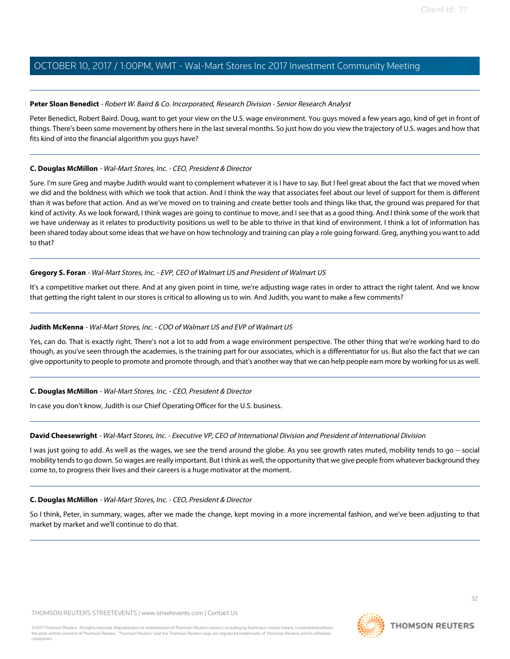#### <span id="page-31-1"></span>**Peter Sloan Benedict** - Robert W. Baird & Co. Incorporated, Research Division - Senior Research Analyst

Peter Benedict, Robert Baird. Doug, want to get your view on the U.S. wage environment. You guys moved a few years ago, kind of get in front of things. There's been some movement by others here in the last several months. So just how do you view the trajectory of U.S. wages and how that fits kind of into the financial algorithm you guys have?

#### **C. Douglas McMillon** - Wal-Mart Stores, Inc. - CEO, President & Director

Sure. I'm sure Greg and maybe Judith would want to complement whatever it is I have to say. But I feel great about the fact that we moved when we did and the boldness with which we took that action. And I think the way that associates feel about our level of support for them is different than it was before that action. And as we've moved on to training and create better tools and things like that, the ground was prepared for that kind of activity. As we look forward, I think wages are going to continue to move, and I see that as a good thing. And I think some of the work that we have underway as it relates to productivity positions us well to be able to thrive in that kind of environment. I think a lot of information has been shared today about some ideas that we have on how technology and training can play a role going forward. Greg, anything you want to add to that?

#### **Gregory S. Foran** - Wal-Mart Stores, Inc. - EVP, CEO of Walmart US and President of Walmart US

<span id="page-31-0"></span>It's a competitive market out there. And at any given point in time, we're adjusting wage rates in order to attract the right talent. And we know that getting the right talent in our stores is critical to allowing us to win. And Judith, you want to make a few comments?

#### **Judith McKenna** - Wal-Mart Stores, Inc. - COO of Walmart US and EVP of Walmart US

Yes, can do. That is exactly right. There's not a lot to add from a wage environment perspective. The other thing that we're working hard to do though, as you've seen through the academies, is the training part for our associates, which is a differentiator for us. But also the fact that we can give opportunity to people to promote and promote through, and that's another way that we can help people earn more by working for us as well.

#### **C. Douglas McMillon** - Wal-Mart Stores, Inc. - CEO, President & Director

In case you don't know, Judith is our Chief Operating Officer for the U.S. business.

#### **David Cheesewright** - Wal-Mart Stores, Inc. - Executive VP, CEO of International Division and President of International Division

I was just going to add. As well as the wages, we see the trend around the globe. As you see growth rates muted, mobility tends to go -- social mobility tends to go down. So wages are really important. But I think as well, the opportunity that we give people from whatever background they come to, to progress their lives and their careers is a huge motivator at the moment.

#### **C. Douglas McMillon** - Wal-Mart Stores, Inc. - CEO, President & Director

So I think, Peter, in summary, wages, after we made the change, kept moving in a more incremental fashion, and we've been adjusting to that market by market and we'll continue to do that.

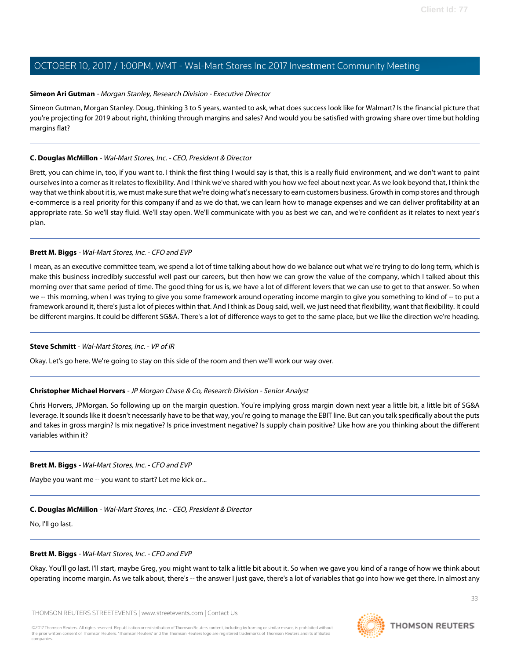#### <span id="page-32-1"></span>**Simeon Ari Gutman** - Morgan Stanley, Research Division - Executive Director

Simeon Gutman, Morgan Stanley. Doug, thinking 3 to 5 years, wanted to ask, what does success look like for Walmart? Is the financial picture that you're projecting for 2019 about right, thinking through margins and sales? And would you be satisfied with growing share over time but holding margins flat?

#### **C. Douglas McMillon** - Wal-Mart Stores, Inc. - CEO, President & Director

Brett, you can chime in, too, if you want to. I think the first thing I would say is that, this is a really fluid environment, and we don't want to paint ourselves into a corner as it relates to flexibility. And I think we've shared with you how we feel about next year. As we look beyond that, I think the way that we think about it is, we must make sure that we're doing what's necessary to earn customers business. Growth in comp stores and through e-commerce is a real priority for this company if and as we do that, we can learn how to manage expenses and we can deliver profitability at an appropriate rate. So we'll stay fluid. We'll stay open. We'll communicate with you as best we can, and we're confident as it relates to next year's plan.

#### **Brett M. Biggs** - Wal-Mart Stores, Inc. - CFO and EVP

I mean, as an executive committee team, we spend a lot of time talking about how do we balance out what we're trying to do long term, which is make this business incredibly successful well past our careers, but then how we can grow the value of the company, which I talked about this morning over that same period of time. The good thing for us is, we have a lot of different levers that we can use to get to that answer. So when we -- this morning, when I was trying to give you some framework around operating income margin to give you something to kind of -- to put a framework around it, there's just a lot of pieces within that. And I think as Doug said, well, we just need that flexibility, want that flexibility. It could be different margins. It could be different SG&A. There's a lot of difference ways to get to the same place, but we like the direction we're heading.

#### <span id="page-32-0"></span>**Steve Schmitt** - Wal-Mart Stores, Inc. - VP of IR

Okay. Let's go here. We're going to stay on this side of the room and then we'll work our way over.

#### **Christopher Michael Horvers** - JP Morgan Chase & Co, Research Division - Senior Analyst

Chris Horvers, JPMorgan. So following up on the margin question. You're implying gross margin down next year a little bit, a little bit of SG&A leverage. It sounds like it doesn't necessarily have to be that way, you're going to manage the EBIT line. But can you talk specifically about the puts and takes in gross margin? Is mix negative? Is price investment negative? Is supply chain positive? Like how are you thinking about the different variables within it?

#### **Brett M. Biggs** - Wal-Mart Stores, Inc. - CFO and EVP

Maybe you want me -- you want to start? Let me kick or...

#### **C. Douglas McMillon** - Wal-Mart Stores, Inc. - CEO, President & Director

No, I'll go last.

#### **Brett M. Biggs** - Wal-Mart Stores, Inc. - CFO and EVP

Okay. You'll go last. I'll start, maybe Greg, you might want to talk a little bit about it. So when we gave you kind of a range of how we think about operating income margin. As we talk about, there's -- the answer I just gave, there's a lot of variables that go into how we get there. In almost any

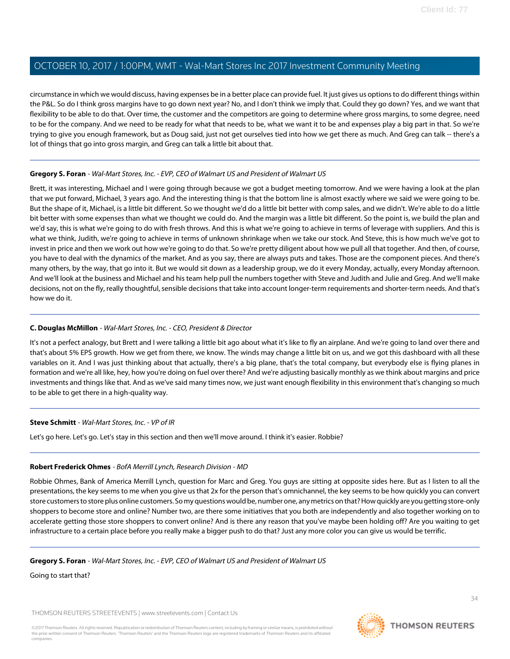circumstance in which we would discuss, having expenses be in a better place can provide fuel. It just gives us options to do different things within the P&L. So do I think gross margins have to go down next year? No, and I don't think we imply that. Could they go down? Yes, and we want that flexibility to be able to do that. Over time, the customer and the competitors are going to determine where gross margins, to some degree, need to be for the company. And we need to be ready for what that needs to be, what we want it to be and expenses play a big part in that. So we're trying to give you enough framework, but as Doug said, just not get ourselves tied into how we get there as much. And Greg can talk -- there's a lot of things that go into gross margin, and Greg can talk a little bit about that.

#### **Gregory S. Foran** - Wal-Mart Stores, Inc. - EVP, CEO of Walmart US and President of Walmart US

Brett, it was interesting, Michael and I were going through because we got a budget meeting tomorrow. And we were having a look at the plan that we put forward, Michael, 3 years ago. And the interesting thing is that the bottom line is almost exactly where we said we were going to be. But the shape of it, Michael, is a little bit different. So we thought we'd do a little bit better with comp sales, and we didn't. We're able to do a little bit better with some expenses than what we thought we could do. And the margin was a little bit different. So the point is, we build the plan and we'd say, this is what we're going to do with fresh throws. And this is what we're going to achieve in terms of leverage with suppliers. And this is what we think, Judith, we're going to achieve in terms of unknown shrinkage when we take our stock. And Steve, this is how much we've got to invest in price and then we work out how we're going to do that. So we're pretty diligent about how we pull all that together. And then, of course, you have to deal with the dynamics of the market. And as you say, there are always puts and takes. Those are the component pieces. And there's many others, by the way, that go into it. But we would sit down as a leadership group, we do it every Monday, actually, every Monday afternoon. And we'll look at the business and Michael and his team help pull the numbers together with Steve and Judith and Julie and Greg. And we'll make decisions, not on the fly, really thoughtful, sensible decisions that take into account longer-term requirements and shorter-term needs. And that's how we do it.

#### **C. Douglas McMillon** - Wal-Mart Stores, Inc. - CEO, President & Director

It's not a perfect analogy, but Brett and I were talking a little bit ago about what it's like to fly an airplane. And we're going to land over there and that's about 5% EPS growth. How we get from there, we know. The winds may change a little bit on us, and we got this dashboard with all these variables on it. And I was just thinking about that actually, there's a big plane, that's the total company, but everybody else is flying planes in formation and we're all like, hey, how you're doing on fuel over there? And we're adjusting basically monthly as we think about margins and price investments and things like that. And as we've said many times now, we just want enough flexibility in this environment that's changing so much to be able to get there in a high-quality way.

#### <span id="page-33-0"></span>**Steve Schmitt** - Wal-Mart Stores, Inc. - VP of IR

Let's go here. Let's go. Let's stay in this section and then we'll move around. I think it's easier. Robbie?

#### **Robert Frederick Ohmes** - BofA Merrill Lynch, Research Division - MD

Robbie Ohmes, Bank of America Merrill Lynch, question for Marc and Greg. You guys are sitting at opposite sides here. But as I listen to all the presentations, the key seems to me when you give us that 2x for the person that's omnichannel, the key seems to be how quickly you can convert store customers to store plus online customers. So my questions would be, number one, any metrics on that? How quickly are you getting store-only shoppers to become store and online? Number two, are there some initiatives that you both are independently and also together working on to accelerate getting those store shoppers to convert online? And is there any reason that you've maybe been holding off? Are you waiting to get infrastructure to a certain place before you really make a bigger push to do that? Just any more color you can give us would be terrific.

#### **Gregory S. Foran** - Wal-Mart Stores, Inc. - EVP, CEO of Walmart US and President of Walmart US

Going to start that?

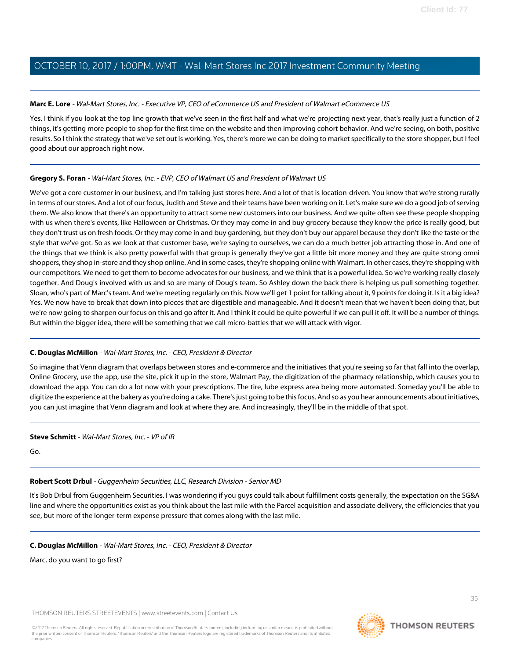#### **Marc E. Lore** - Wal-Mart Stores, Inc. - Executive VP, CEO of eCommerce US and President of Walmart eCommerce US

Yes. I think if you look at the top line growth that we've seen in the first half and what we're projecting next year, that's really just a function of 2 things, it's getting more people to shop for the first time on the website and then improving cohort behavior. And we're seeing, on both, positive results. So I think the strategy that we've set out is working. Yes, there's more we can be doing to market specifically to the store shopper, but I feel good about our approach right now.

#### **Gregory S. Foran** - Wal-Mart Stores, Inc. - EVP, CEO of Walmart US and President of Walmart US

We've got a core customer in our business, and I'm talking just stores here. And a lot of that is location-driven. You know that we're strong rurally in terms of our stores. And a lot of our focus, Judith and Steve and their teams have been working on it. Let's make sure we do a good job of serving them. We also know that there's an opportunity to attract some new customers into our business. And we quite often see these people shopping with us when there's events, like Halloween or Christmas. Or they may come in and buy grocery because they know the price is really good, but they don't trust us on fresh foods. Or they may come in and buy gardening, but they don't buy our apparel because they don't like the taste or the style that we've got. So as we look at that customer base, we're saying to ourselves, we can do a much better job attracting those in. And one of the things that we think is also pretty powerful with that group is generally they've got a little bit more money and they are quite strong omni shoppers, they shop in-store and they shop online. And in some cases, they're shopping online with Walmart. In other cases, they're shopping with our competitors. We need to get them to become advocates for our business, and we think that is a powerful idea. So we're working really closely together. And Doug's involved with us and so are many of Doug's team. So Ashley down the back there is helping us pull something together. Sloan, who's part of Marc's team. And we're meeting regularly on this. Now we'll get 1 point for talking about it, 9 points for doing it. Is it a big idea? Yes. We now have to break that down into pieces that are digestible and manageable. And it doesn't mean that we haven't been doing that, but we're now going to sharpen our focus on this and go after it. And I think it could be quite powerful if we can pull it off. It will be a number of things. But within the bigger idea, there will be something that we call micro-battles that we will attack with vigor.

#### **C. Douglas McMillon** - Wal-Mart Stores, Inc. - CEO, President & Director

So imagine that Venn diagram that overlaps between stores and e-commerce and the initiatives that you're seeing so far that fall into the overlap, Online Grocery, use the app, use the site, pick it up in the store, Walmart Pay, the digitization of the pharmacy relationship, which causes you to download the app. You can do a lot now with your prescriptions. The tire, lube express area being more automated. Someday you'll be able to digitize the experience at the bakery as you're doing a cake. There's just going to be this focus. And so as you hear announcements about initiatives, you can just imagine that Venn diagram and look at where they are. And increasingly, they'll be in the middle of that spot.

#### <span id="page-34-0"></span>**Steve Schmitt** - Wal-Mart Stores, Inc. - VP of IR

Go.

#### **Robert Scott Drbul** - Guggenheim Securities, LLC, Research Division - Senior MD

It's Bob Drbul from Guggenheim Securities. I was wondering if you guys could talk about fulfillment costs generally, the expectation on the SG&A line and where the opportunities exist as you think about the last mile with the Parcel acquisition and associate delivery, the efficiencies that you see, but more of the longer-term expense pressure that comes along with the last mile.

#### **C. Douglas McMillon** - Wal-Mart Stores, Inc. - CEO, President & Director

Marc, do you want to go first?

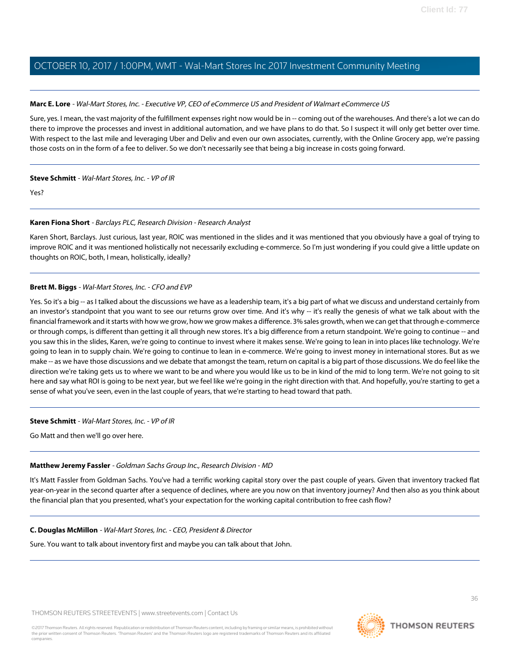#### **Marc E. Lore** - Wal-Mart Stores, Inc. - Executive VP, CEO of eCommerce US and President of Walmart eCommerce US

Sure, yes. I mean, the vast majority of the fulfillment expenses right now would be in -- coming out of the warehouses. And there's a lot we can do there to improve the processes and invest in additional automation, and we have plans to do that. So I suspect it will only get better over time. With respect to the last mile and leveraging Uber and Deliv and even our own associates, currently, with the Online Grocery app, we're passing those costs on in the form of a fee to deliver. So we don't necessarily see that being a big increase in costs going forward.

#### **Steve Schmitt** - Wal-Mart Stores, Inc. - VP of IR

<span id="page-35-0"></span>Yes?

#### **Karen Fiona Short** - Barclays PLC, Research Division - Research Analyst

Karen Short, Barclays. Just curious, last year, ROIC was mentioned in the slides and it was mentioned that you obviously have a goal of trying to improve ROIC and it was mentioned holistically not necessarily excluding e-commerce. So I'm just wondering if you could give a little update on thoughts on ROIC, both, I mean, holistically, ideally?

#### **Brett M. Biggs** - Wal-Mart Stores, Inc. - CFO and EVP

Yes. So it's a big -- as I talked about the discussions we have as a leadership team, it's a big part of what we discuss and understand certainly from an investor's standpoint that you want to see our returns grow over time. And it's why -- it's really the genesis of what we talk about with the financial framework and it starts with how we grow, how we grow makes a difference. 3% sales growth, when we can get that through e-commerce or through comps, is different than getting it all through new stores. It's a big difference from a return standpoint. We're going to continue -- and you saw this in the slides, Karen, we're going to continue to invest where it makes sense. We're going to lean in into places like technology. We're going to lean in to supply chain. We're going to continue to lean in e-commerce. We're going to invest money in international stores. But as we make -- as we have those discussions and we debate that amongst the team, return on capital is a big part of those discussions. We do feel like the direction we're taking gets us to where we want to be and where you would like us to be in kind of the mid to long term. We're not going to sit here and say what ROI is going to be next year, but we feel like we're going in the right direction with that. And hopefully, you're starting to get a sense of what you've seen, even in the last couple of years, that we're starting to head toward that path.

#### <span id="page-35-1"></span>**Steve Schmitt** - Wal-Mart Stores, Inc. - VP of IR

Go Matt and then we'll go over here.

#### **Matthew Jeremy Fassler** - Goldman Sachs Group Inc., Research Division - MD

It's Matt Fassler from Goldman Sachs. You've had a terrific working capital story over the past couple of years. Given that inventory tracked flat year-on-year in the second quarter after a sequence of declines, where are you now on that inventory journey? And then also as you think about the financial plan that you presented, what's your expectation for the working capital contribution to free cash flow?

#### **C. Douglas McMillon** - Wal-Mart Stores, Inc. - CEO, President & Director

Sure. You want to talk about inventory first and maybe you can talk about that John.

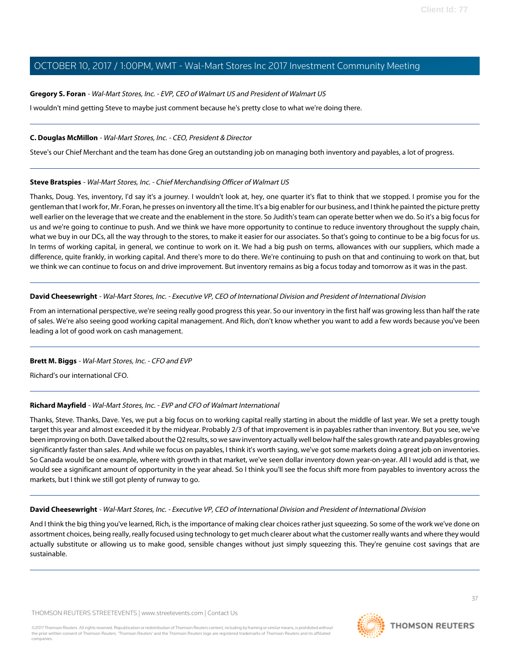#### **Gregory S. Foran** - Wal-Mart Stores, Inc. - EVP, CEO of Walmart US and President of Walmart US

I wouldn't mind getting Steve to maybe just comment because he's pretty close to what we're doing there.

#### **C. Douglas McMillon** - Wal-Mart Stores, Inc. - CEO, President & Director

<span id="page-36-1"></span>Steve's our Chief Merchant and the team has done Greg an outstanding job on managing both inventory and payables, a lot of progress.

#### **Steve Bratspies** - Wal-Mart Stores, Inc. - Chief Merchandising Officer of Walmart US

Thanks, Doug. Yes, inventory, I'd say it's a journey. I wouldn't look at, hey, one quarter it's flat to think that we stopped. I promise you for the gentleman that I work for, Mr. Foran, he presses on inventory all the time. It's a big enabler for our business, and I think he painted the picture pretty well earlier on the leverage that we create and the enablement in the store. So Judith's team can operate better when we do. So it's a big focus for us and we're going to continue to push. And we think we have more opportunity to continue to reduce inventory throughout the supply chain, what we buy in our DCs, all the way through to the stores, to make it easier for our associates. So that's going to continue to be a big focus for us. In terms of working capital, in general, we continue to work on it. We had a big push on terms, allowances with our suppliers, which made a difference, quite frankly, in working capital. And there's more to do there. We're continuing to push on that and continuing to work on that, but we think we can continue to focus on and drive improvement. But inventory remains as big a focus today and tomorrow as it was in the past.

#### **David Cheesewright** - Wal-Mart Stores, Inc. - Executive VP, CEO of International Division and President of International Division

From an international perspective, we're seeing really good progress this year. So our inventory in the first half was growing less than half the rate of sales. We're also seeing good working capital management. And Rich, don't know whether you want to add a few words because you've been leading a lot of good work on cash management.

#### <span id="page-36-0"></span>**Brett M. Biggs** - Wal-Mart Stores, Inc. - CFO and EVP

Richard's our international CFO.

#### **Richard Mayfield** - Wal-Mart Stores, Inc. - EVP and CFO of Walmart International

Thanks, Steve. Thanks, Dave. Yes, we put a big focus on to working capital really starting in about the middle of last year. We set a pretty tough target this year and almost exceeded it by the midyear. Probably 2/3 of that improvement is in payables rather than inventory. But you see, we've been improving on both. Dave talked about the Q2 results, so we saw inventory actually well below half the sales growth rate and payables growing significantly faster than sales. And while we focus on payables, I think it's worth saying, we've got some markets doing a great job on inventories. So Canada would be one example, where with growth in that market, we've seen dollar inventory down year-on-year. All I would add is that, we would see a significant amount of opportunity in the year ahead. So I think you'll see the focus shift more from payables to inventory across the markets, but I think we still got plenty of runway to go.

#### **David Cheesewright** - Wal-Mart Stores, Inc. - Executive VP, CEO of International Division and President of International Division

And I think the big thing you've learned, Rich, is the importance of making clear choices rather just squeezing. So some of the work we've done on assortment choices, being really, really focused using technology to get much clearer about what the customer really wants and where they would actually substitute or allowing us to make good, sensible changes without just simply squeezing this. They're genuine cost savings that are sustainable.

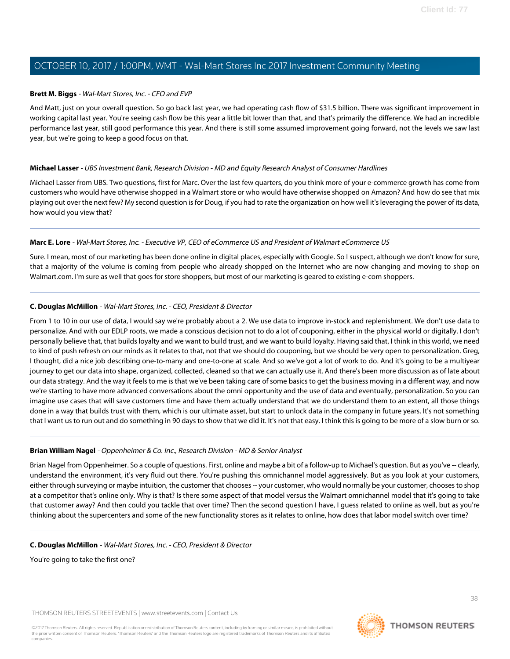#### **Brett M. Biggs** - Wal-Mart Stores, Inc. - CFO and EVP

And Matt, just on your overall question. So go back last year, we had operating cash flow of \$31.5 billion. There was significant improvement in working capital last year. You're seeing cash flow be this year a little bit lower than that, and that's primarily the difference. We had an incredible performance last year, still good performance this year. And there is still some assumed improvement going forward, not the levels we saw last year, but we're going to keep a good focus on that.

#### <span id="page-37-1"></span>**Michael Lasser** - UBS Investment Bank, Research Division - MD and Equity Research Analyst of Consumer Hardlines

Michael Lasser from UBS. Two questions, first for Marc. Over the last few quarters, do you think more of your e-commerce growth has come from customers who would have otherwise shopped in a Walmart store or who would have otherwise shopped on Amazon? And how do see that mix playing out over the next few? My second question is for Doug, if you had to rate the organization on how well it's leveraging the power of its data, how would you view that?

#### **Marc E. Lore** - Wal-Mart Stores, Inc. - Executive VP, CEO of eCommerce US and President of Walmart eCommerce US

Sure. I mean, most of our marketing has been done online in digital places, especially with Google. So I suspect, although we don't know for sure, that a majority of the volume is coming from people who already shopped on the Internet who are now changing and moving to shop on Walmart.com. I'm sure as well that goes for store shoppers, but most of our marketing is geared to existing e-com shoppers.

#### **C. Douglas McMillon** - Wal-Mart Stores, Inc. - CEO, President & Director

From 1 to 10 in our use of data, I would say we're probably about a 2. We use data to improve in-stock and replenishment. We don't use data to personalize. And with our EDLP roots, we made a conscious decision not to do a lot of couponing, either in the physical world or digitally. I don't personally believe that, that builds loyalty and we want to build trust, and we want to build loyalty. Having said that, I think in this world, we need to kind of push refresh on our minds as it relates to that, not that we should do couponing, but we should be very open to personalization. Greg, I thought, did a nice job describing one-to-many and one-to-one at scale. And so we've got a lot of work to do. And it's going to be a multiyear journey to get our data into shape, organized, collected, cleaned so that we can actually use it. And there's been more discussion as of late about our data strategy. And the way it feels to me is that we've been taking care of some basics to get the business moving in a different way, and now we're starting to have more advanced conversations about the omni opportunity and the use of data and eventually, personalization. So you can imagine use cases that will save customers time and have them actually understand that we do understand them to an extent, all those things done in a way that builds trust with them, which is our ultimate asset, but start to unlock data in the company in future years. It's not something that I want us to run out and do something in 90 days to show that we did it. It's not that easy. I think this is going to be more of a slow burn or so.

#### <span id="page-37-0"></span>**Brian William Nagel** - Oppenheimer & Co. Inc., Research Division - MD & Senior Analyst

Brian Nagel from Oppenheimer. So a couple of questions. First, online and maybe a bit of a follow-up to Michael's question. But as you've -- clearly, understand the environment, it's very fluid out there. You're pushing this omnichannel model aggressively. But as you look at your customers, either through surveying or maybe intuition, the customer that chooses -- your customer, who would normally be your customer, chooses to shop at a competitor that's online only. Why is that? Is there some aspect of that model versus the Walmart omnichannel model that it's going to take that customer away? And then could you tackle that over time? Then the second question I have, I guess related to online as well, but as you're thinking about the supercenters and some of the new functionality stores as it relates to online, how does that labor model switch over time?

#### **C. Douglas McMillon** - Wal-Mart Stores, Inc. - CEO, President & Director

You're going to take the first one?

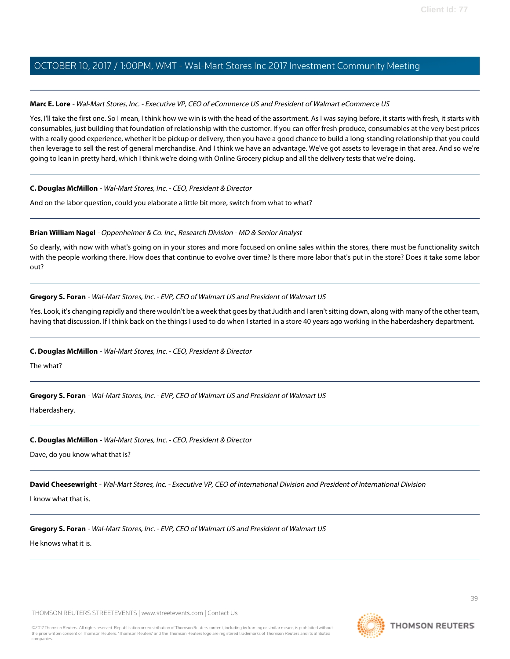#### **Marc E. Lore** - Wal-Mart Stores, Inc. - Executive VP, CEO of eCommerce US and President of Walmart eCommerce US

Yes, I'll take the first one. So I mean, I think how we win is with the head of the assortment. As I was saying before, it starts with fresh, it starts with consumables, just building that foundation of relationship with the customer. If you can offer fresh produce, consumables at the very best prices with a really good experience, whether it be pickup or delivery, then you have a good chance to build a long-standing relationship that you could then leverage to sell the rest of general merchandise. And I think we have an advantage. We've got assets to leverage in that area. And so we're going to lean in pretty hard, which I think we're doing with Online Grocery pickup and all the delivery tests that we're doing.

#### **C. Douglas McMillon** - Wal-Mart Stores, Inc. - CEO, President & Director

And on the labor question, could you elaborate a little bit more, switch from what to what?

#### **Brian William Nagel** - Oppenheimer & Co. Inc., Research Division - MD & Senior Analyst

So clearly, with now with what's going on in your stores and more focused on online sales within the stores, there must be functionality switch with the people working there. How does that continue to evolve over time? Is there more labor that's put in the store? Does it take some labor out?

#### **Gregory S. Foran** - Wal-Mart Stores, Inc. - EVP, CEO of Walmart US and President of Walmart US

Yes. Look, it's changing rapidly and there wouldn't be a week that goes by that Judith and I aren't sitting down, along with many of the other team, having that discussion. If I think back on the things I used to do when I started in a store 40 years ago working in the haberdashery department.

#### **C. Douglas McMillon** - Wal-Mart Stores, Inc. - CEO, President & Director

The what?

#### **Gregory S. Foran** - Wal-Mart Stores, Inc. - EVP, CEO of Walmart US and President of Walmart US

Haberdashery.

#### **C. Douglas McMillon** - Wal-Mart Stores, Inc. - CEO, President & Director

Dave, do you know what that is?

**David Cheesewright** - Wal-Mart Stores, Inc. - Executive VP, CEO of International Division and President of International Division

I know what that is.

#### **Gregory S. Foran** - Wal-Mart Stores, Inc. - EVP, CEO of Walmart US and President of Walmart US

He knows what it is.

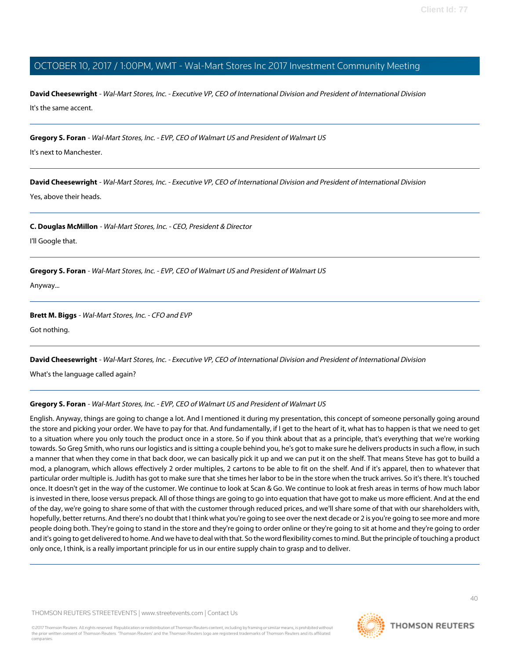**David Cheesewright** - Wal-Mart Stores, Inc. - Executive VP, CEO of International Division and President of International Division It's the same accent.

**Gregory S. Foran** - Wal-Mart Stores, Inc. - EVP, CEO of Walmart US and President of Walmart US

It's next to Manchester.

**David Cheesewright** - Wal-Mart Stores, Inc. - Executive VP, CEO of International Division and President of International Division

Yes, above their heads.

**C. Douglas McMillon** - Wal-Mart Stores, Inc. - CEO, President & Director

I'll Google that.

**Gregory S. Foran** - Wal-Mart Stores, Inc. - EVP, CEO of Walmart US and President of Walmart US

Anyway...

#### **Brett M. Biggs** - Wal-Mart Stores, Inc. - CFO and EVP

Got nothing.

**David Cheesewright** - Wal-Mart Stores, Inc. - Executive VP, CEO of International Division and President of International Division

What's the language called again?

#### **Gregory S. Foran** - Wal-Mart Stores, Inc. - EVP, CEO of Walmart US and President of Walmart US

English. Anyway, things are going to change a lot. And I mentioned it during my presentation, this concept of someone personally going around the store and picking your order. We have to pay for that. And fundamentally, if I get to the heart of it, what has to happen is that we need to get to a situation where you only touch the product once in a store. So if you think about that as a principle, that's everything that we're working towards. So Greg Smith, who runs our logistics and is sitting a couple behind you, he's got to make sure he delivers products in such a flow, in such a manner that when they come in that back door, we can basically pick it up and we can put it on the shelf. That means Steve has got to build a mod, a planogram, which allows effectively 2 order multiples, 2 cartons to be able to fit on the shelf. And if it's apparel, then to whatever that particular order multiple is. Judith has got to make sure that she times her labor to be in the store when the truck arrives. So it's there. It's touched once. It doesn't get in the way of the customer. We continue to look at Scan & Go. We continue to look at fresh areas in terms of how much labor is invested in there, loose versus prepack. All of those things are going to go into equation that have got to make us more efficient. And at the end of the day, we're going to share some of that with the customer through reduced prices, and we'll share some of that with our shareholders with, hopefully, better returns. And there's no doubt that I think what you're going to see over the next decade or 2 is you're going to see more and more people doing both. They're going to stand in the store and they're going to order online or they're going to sit at home and they're going to order and it's going to get delivered to home. And we have to deal with that. So the word flexibility comes to mind. But the principle of touching a product only once, I think, is a really important principle for us in our entire supply chain to grasp and to deliver.

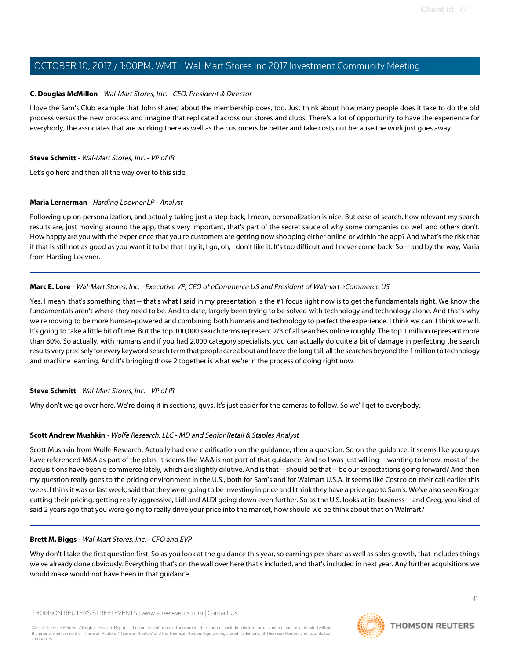#### **C. Douglas McMillon** - Wal-Mart Stores, Inc. - CEO, President & Director

I love the Sam's Club example that John shared about the membership does, too. Just think about how many people does it take to do the old process versus the new process and imagine that replicated across our stores and clubs. There's a lot of opportunity to have the experience for everybody, the associates that are working there as well as the customers be better and take costs out because the work just goes away.

#### **Steve Schmitt** - Wal-Mart Stores, Inc. - VP of IR

<span id="page-40-0"></span>Let's go here and then all the way over to this side.

#### **Maria Lernerman** - Harding Loevner LP - Analyst

Following up on personalization, and actually taking just a step back, I mean, personalization is nice. But ease of search, how relevant my search results are, just moving around the app, that's very important, that's part of the secret sauce of why some companies do well and others don't. How happy are you with the experience that you're customers are getting now shopping either online or within the app? And what's the risk that if that is still not as good as you want it to be that I try it, I go, oh, I don't like it. It's too difficult and I never come back. So -- and by the way, Maria from Harding Loevner.

#### **Marc E. Lore** - Wal-Mart Stores, Inc. - Executive VP, CEO of eCommerce US and President of Walmart eCommerce US

Yes. I mean, that's something that -- that's what I said in my presentation is the #1 focus right now is to get the fundamentals right. We know the fundamentals aren't where they need to be. And to date, largely been trying to be solved with technology and technology alone. And that's why we're moving to be more human-powered and combining both humans and technology to perfect the experience. I think we can. I think we will. It's going to take a little bit of time. But the top 100,000 search terms represent 2/3 of all searches online roughly. The top 1 million represent more than 80%. So actually, with humans and if you had 2,000 category specialists, you can actually do quite a bit of damage in perfecting the search results very precisely for every keyword search term that people care about and leave the long tail, all the searches beyond the 1 million to technology and machine learning. And it's bringing those 2 together is what we're in the process of doing right now.

#### <span id="page-40-1"></span>**Steve Schmitt** - Wal-Mart Stores, Inc. - VP of IR

Why don't we go over here. We're doing it in sections, guys. It's just easier for the cameras to follow. So we'll get to everybody.

#### **Scott Andrew Mushkin** - Wolfe Research, LLC - MD and Senior Retail & Staples Analyst

Scott Mushkin from Wolfe Research. Actually had one clarification on the guidance, then a question. So on the guidance, it seems like you guys have referenced M&A as part of the plan. It seems like M&A is not part of that guidance. And so I was just willing -- wanting to know, most of the acquisitions have been e-commerce lately, which are slightly dilutive. And is that -- should be that -- be our expectations going forward? And then my question really goes to the pricing environment in the U.S., both for Sam's and for Walmart U.S.A. It seems like Costco on their call earlier this week, I think it was or last week, said that they were going to be investing in price and I think they have a price gap to Sam's. We've also seen Kroger cutting their pricing, getting really aggressive, Lidl and ALDI going down even further. So as the U.S. looks at its business -- and Greg, you kind of said 2 years ago that you were going to really drive your price into the market, how should we be think about that on Walmart?

#### **Brett M. Biggs** - Wal-Mart Stores, Inc. - CFO and EVP

Why don't I take the first question first. So as you look at the guidance this year, so earnings per share as well as sales growth, that includes things we've already done obviously. Everything that's on the wall over here that's included, and that's included in next year. Any further acquisitions we would make would not have been in that guidance.

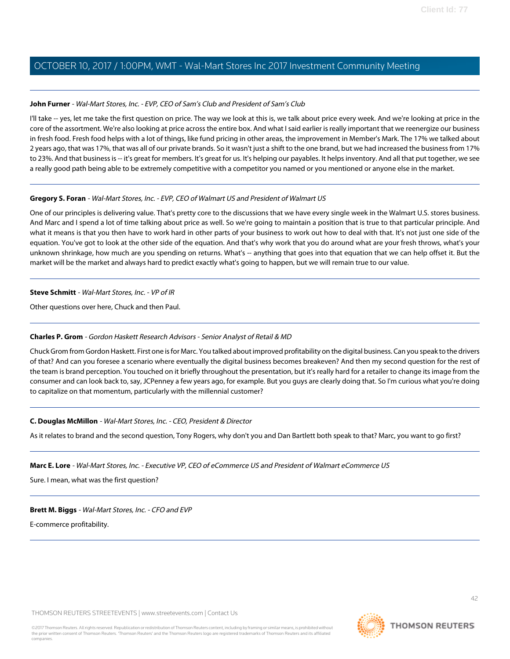#### **John Furner** - Wal-Mart Stores, Inc. - EVP, CEO of Sam's Club and President of Sam's Club

I'll take -- yes, let me take the first question on price. The way we look at this is, we talk about price every week. And we're looking at price in the core of the assortment. We're also looking at price across the entire box. And what I said earlier is really important that we reenergize our business in fresh food. Fresh food helps with a lot of things, like fund pricing in other areas, the improvement in Member's Mark. The 17% we talked about 2 years ago, that was 17%, that was all of our private brands. So it wasn't just a shift to the one brand, but we had increased the business from 17% to 23%. And that business is -- it's great for members. It's great for us. It's helping our payables. It helps inventory. And all that put together, we see a really good path being able to be extremely competitive with a competitor you named or you mentioned or anyone else in the market.

#### **Gregory S. Foran** - Wal-Mart Stores, Inc. - EVP, CEO of Walmart US and President of Walmart US

One of our principles is delivering value. That's pretty core to the discussions that we have every single week in the Walmart U.S. stores business. And Marc and I spend a lot of time talking about price as well. So we're going to maintain a position that is true to that particular principle. And what it means is that you then have to work hard in other parts of your business to work out how to deal with that. It's not just one side of the equation. You've got to look at the other side of the equation. And that's why work that you do around what are your fresh throws, what's your unknown shrinkage, how much are you spending on returns. What's -- anything that goes into that equation that we can help offset it. But the market will be the market and always hard to predict exactly what's going to happen, but we will remain true to our value.

#### **Steve Schmitt** - Wal-Mart Stores, Inc. - VP of IR

<span id="page-41-0"></span>Other questions over here, Chuck and then Paul.

#### **Charles P. Grom** - Gordon Haskett Research Advisors - Senior Analyst of Retail & MD

Chuck Grom from Gordon Haskett. First one is for Marc. You talked about improved profitability on the digital business. Can you speak to the drivers of that? And can you foresee a scenario where eventually the digital business becomes breakeven? And then my second question for the rest of the team is brand perception. You touched on it briefly throughout the presentation, but it's really hard for a retailer to change its image from the consumer and can look back to, say, JCPenney a few years ago, for example. But you guys are clearly doing that. So I'm curious what you're doing to capitalize on that momentum, particularly with the millennial customer?

#### **C. Douglas McMillon** - Wal-Mart Stores, Inc. - CEO, President & Director

As it relates to brand and the second question, Tony Rogers, why don't you and Dan Bartlett both speak to that? Marc, you want to go first?

#### **Marc E. Lore** - Wal-Mart Stores, Inc. - Executive VP, CEO of eCommerce US and President of Walmart eCommerce US

Sure. I mean, what was the first question?

#### **Brett M. Biggs** - Wal-Mart Stores, Inc. - CFO and EVP

E-commerce profitability.

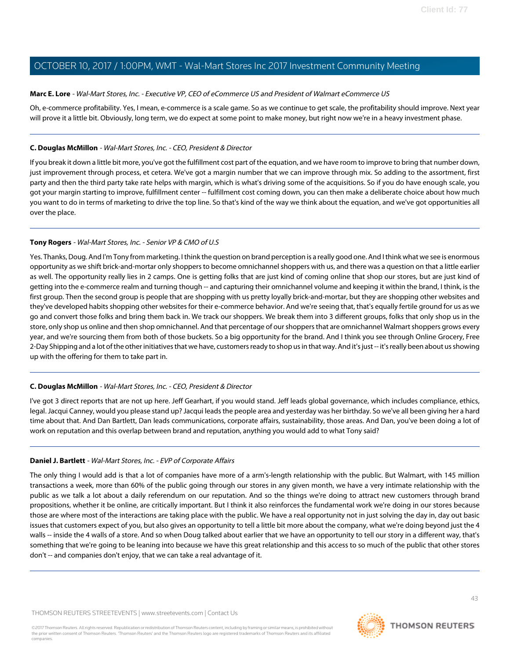#### **Marc E. Lore** - Wal-Mart Stores, Inc. - Executive VP, CEO of eCommerce US and President of Walmart eCommerce US

Oh, e-commerce profitability. Yes, I mean, e-commerce is a scale game. So as we continue to get scale, the profitability should improve. Next year will prove it a little bit. Obviously, long term, we do expect at some point to make money, but right now we're in a heavy investment phase.

#### **C. Douglas McMillon** - Wal-Mart Stores, Inc. - CEO, President & Director

If you break it down a little bit more, you've got the fulfillment cost part of the equation, and we have room to improve to bring that number down, just improvement through process, et cetera. We've got a margin number that we can improve through mix. So adding to the assortment, first party and then the third party take rate helps with margin, which is what's driving some of the acquisitions. So if you do have enough scale, you got your margin starting to improve, fulfillment center -- fulfillment cost coming down, you can then make a deliberate choice about how much you want to do in terms of marketing to drive the top line. So that's kind of the way we think about the equation, and we've got opportunities all over the place.

#### <span id="page-42-1"></span>**Tony Rogers** - Wal-Mart Stores, Inc. - Senior VP & CMO of U.S

Yes. Thanks, Doug. And I'm Tony from marketing. I think the question on brand perception is a really good one. And I think what we see is enormous opportunity as we shift brick-and-mortar only shoppers to become omnichannel shoppers with us, and there was a question on that a little earlier as well. The opportunity really lies in 2 camps. One is getting folks that are just kind of coming online that shop our stores, but are just kind of getting into the e-commerce realm and turning though -- and capturing their omnichannel volume and keeping it within the brand, I think, is the first group. Then the second group is people that are shopping with us pretty loyally brick-and-mortar, but they are shopping other websites and they've developed habits shopping other websites for their e-commerce behavior. And we're seeing that, that's equally fertile ground for us as we go and convert those folks and bring them back in. We track our shoppers. We break them into 3 different groups, folks that only shop us in the store, only shop us online and then shop omnichannel. And that percentage of our shoppers that are omnichannel Walmart shoppers grows every year, and we're sourcing them from both of those buckets. So a big opportunity for the brand. And I think you see through Online Grocery, Free 2-Day Shipping and a lot of the other initiatives that we have, customers ready to shop us in that way. And it's just -- it's really been about us showing up with the offering for them to take part in.

#### **C. Douglas McMillon** - Wal-Mart Stores, Inc. - CEO, President & Director

<span id="page-42-0"></span>I've got 3 direct reports that are not up here. Jeff Gearhart, if you would stand. Jeff leads global governance, which includes compliance, ethics, legal. Jacqui Canney, would you please stand up? Jacqui leads the people area and yesterday was her birthday. So we've all been giving her a hard time about that. And Dan Bartlett, Dan leads communications, corporate affairs, sustainability, those areas. And Dan, you've been doing a lot of work on reputation and this overlap between brand and reputation, anything you would add to what Tony said?

#### **Daniel J. Bartlett** - Wal-Mart Stores, Inc. - EVP of Corporate Affairs

The only thing I would add is that a lot of companies have more of a arm's-length relationship with the public. But Walmart, with 145 million transactions a week, more than 60% of the public going through our stores in any given month, we have a very intimate relationship with the public as we talk a lot about a daily referendum on our reputation. And so the things we're doing to attract new customers through brand propositions, whether it be online, are critically important. But I think it also reinforces the fundamental work we're doing in our stores because those are where most of the interactions are taking place with the public. We have a real opportunity not in just solving the day in, day out basic issues that customers expect of you, but also gives an opportunity to tell a little bit more about the company, what we're doing beyond just the 4 walls -- inside the 4 walls of a store. And so when Doug talked about earlier that we have an opportunity to tell our story in a different way, that's something that we're going to be leaning into because we have this great relationship and this access to so much of the public that other stores don't -- and companies don't enjoy, that we can take a real advantage of it.

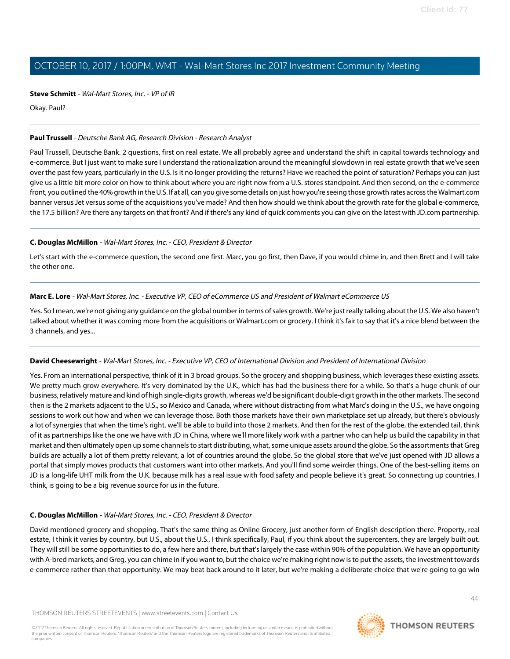#### **Steve Schmitt** - Wal-Mart Stores, Inc. - VP of IR

Okay. Paul?

#### <span id="page-43-0"></span>**Paul Trussell** - Deutsche Bank AG, Research Division - Research Analyst

Paul Trussell, Deutsche Bank. 2 questions, first on real estate. We all probably agree and understand the shift in capital towards technology and e-commerce. But I just want to make sure I understand the rationalization around the meaningful slowdown in real estate growth that we've seen over the past few years, particularly in the U.S. Is it no longer providing the returns? Have we reached the point of saturation? Perhaps you can just give us a little bit more color on how to think about where you are right now from a U.S. stores standpoint. And then second, on the e-commerce front, you outlined the 40% growth in the U.S. If at all, can you give some details on just how you're seeing those growth rates across the Walmart.com banner versus Jet versus some of the acquisitions you've made? And then how should we think about the growth rate for the global e-commerce, the 17.5 billion? Are there any targets on that front? And if there's any kind of quick comments you can give on the latest with JD.com partnership.

#### **C. Douglas McMillon** - Wal-Mart Stores, Inc. - CEO, President & Director

Let's start with the e-commerce question, the second one first. Marc, you go first, then Dave, if you would chime in, and then Brett and I will take the other one.

#### **Marc E. Lore** - Wal-Mart Stores, Inc. - Executive VP, CEO of eCommerce US and President of Walmart eCommerce US

Yes. So I mean, we're not giving any guidance on the global number in terms of sales growth. We're just really talking about the U.S. We also haven't talked about whether it was coming more from the acquisitions or Walmart.com or grocery. I think it's fair to say that it's a nice blend between the 3 channels, and yes...

#### **David Cheesewright** - Wal-Mart Stores, Inc. - Executive VP, CEO of International Division and President of International Division

Yes. From an international perspective, think of it in 3 broad groups. So the grocery and shopping business, which leverages these existing assets. We pretty much grow everywhere. It's very dominated by the U.K., which has had the business there for a while. So that's a huge chunk of our business, relatively mature and kind of high single-digits growth, whereas we'd be significant double-digit growth in the other markets. The second then is the 2 markets adjacent to the U.S., so Mexico and Canada, where without distracting from what Marc's doing in the U.S., we have ongoing sessions to work out how and when we can leverage those. Both those markets have their own marketplace set up already, but there's obviously a lot of synergies that when the time's right, we'll be able to build into those 2 markets. And then for the rest of the globe, the extended tail, think of it as partnerships like the one we have with JD in China, where we'll more likely work with a partner who can help us build the capability in that market and then ultimately open up some channels to start distributing, what, some unique assets around the globe. So the assortments that Greg builds are actually a lot of them pretty relevant, a lot of countries around the globe. So the global store that we've just opened with JD allows a portal that simply moves products that customers want into other markets. And you'll find some weirder things. One of the best-selling items on JD is a long-life UHT milk from the U.K. because milk has a real issue with food safety and people believe it's great. So connecting up countries, I think, is going to be a big revenue source for us in the future.

#### **C. Douglas McMillon** - Wal-Mart Stores, Inc. - CEO, President & Director

David mentioned grocery and shopping. That's the same thing as Online Grocery, just another form of English description there. Property, real estate, I think it varies by country, but U.S., about the U.S., I think specifically, Paul, if you think about the supercenters, they are largely built out. They will still be some opportunities to do, a few here and there, but that's largely the case within 90% of the population. We have an opportunity with A-bred markets, and Greg, you can chime in if you want to, but the choice we're making right now is to put the assets, the investment towards e-commerce rather than that opportunity. We may beat back around to it later, but we're making a deliberate choice that we're going to go win

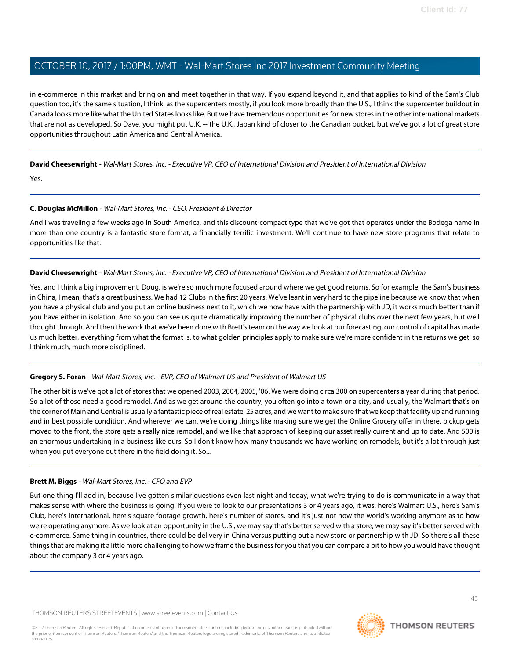in e-commerce in this market and bring on and meet together in that way. If you expand beyond it, and that applies to kind of the Sam's Club question too, it's the same situation, I think, as the supercenters mostly, if you look more broadly than the U.S., I think the supercenter buildout in Canada looks more like what the United States looks like. But we have tremendous opportunities for new stores in the other international markets that are not as developed. So Dave, you might put U.K. -- the U.K., Japan kind of closer to the Canadian bucket, but we've got a lot of great store opportunities throughout Latin America and Central America.

#### **David Cheesewright** - Wal-Mart Stores, Inc. - Executive VP, CEO of International Division and President of International Division

Yes.

#### **C. Douglas McMillon** - Wal-Mart Stores, Inc. - CEO, President & Director

And I was traveling a few weeks ago in South America, and this discount-compact type that we've got that operates under the Bodega name in more than one country is a fantastic store format, a financially terrific investment. We'll continue to have new store programs that relate to opportunities like that.

#### **David Cheesewright** - Wal-Mart Stores, Inc. - Executive VP, CEO of International Division and President of International Division

Yes, and I think a big improvement, Doug, is we're so much more focused around where we get good returns. So for example, the Sam's business in China, I mean, that's a great business. We had 12 Clubs in the first 20 years. We've leant in very hard to the pipeline because we know that when you have a physical club and you put an online business next to it, which we now have with the partnership with JD, it works much better than if you have either in isolation. And so you can see us quite dramatically improving the number of physical clubs over the next few years, but well thought through. And then the work that we've been done with Brett's team on the way we look at our forecasting, our control of capital has made us much better, everything from what the format is, to what golden principles apply to make sure we're more confident in the returns we get, so I think much, much more disciplined.

#### **Gregory S. Foran** - Wal-Mart Stores, Inc. - EVP, CEO of Walmart US and President of Walmart US

The other bit is we've got a lot of stores that we opened 2003, 2004, 2005, '06. We were doing circa 300 on supercenters a year during that period. So a lot of those need a good remodel. And as we get around the country, you often go into a town or a city, and usually, the Walmart that's on the corner of Main and Central is usually a fantastic piece of real estate, 25 acres, and we want to make sure that we keep that facility up and running and in best possible condition. And wherever we can, we're doing things like making sure we get the Online Grocery offer in there, pickup gets moved to the front, the store gets a really nice remodel, and we like that approach of keeping our asset really current and up to date. And 500 is an enormous undertaking in a business like ours. So I don't know how many thousands we have working on remodels, but it's a lot through just when you put everyone out there in the field doing it. So...

#### **Brett M. Biggs** - Wal-Mart Stores, Inc. - CFO and EVP

But one thing I'll add in, because I've gotten similar questions even last night and today, what we're trying to do is communicate in a way that makes sense with where the business is going. If you were to look to our presentations 3 or 4 years ago, it was, here's Walmart U.S., here's Sam's Club, here's International, here's square footage growth, here's number of stores, and it's just not how the world's working anymore as to how we're operating anymore. As we look at an opportunity in the U.S., we may say that's better served with a store, we may say it's better served with e-commerce. Same thing in countries, there could be delivery in China versus putting out a new store or partnership with JD. So there's all these things that are making it a little more challenging to how we frame the business for you that you can compare a bit to how you would have thought about the company 3 or 4 years ago.

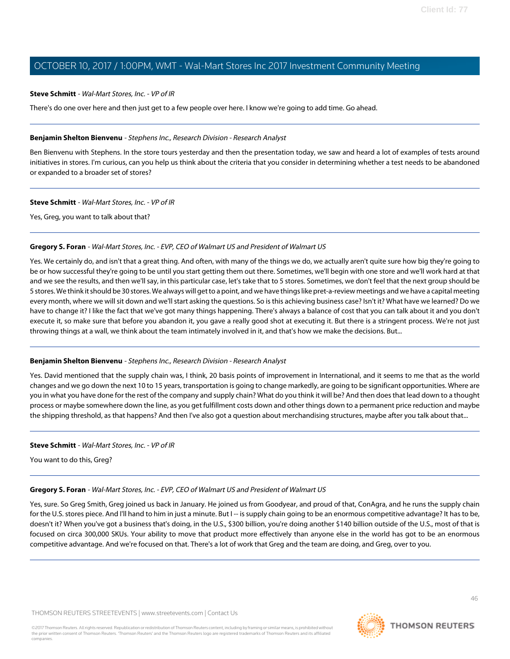#### **Steve Schmitt** - Wal-Mart Stores, Inc. - VP of IR

There's do one over here and then just get to a few people over here. I know we're going to add time. Go ahead.

#### <span id="page-45-0"></span>**Benjamin Shelton Bienvenu** - Stephens Inc., Research Division - Research Analyst

Ben Bienvenu with Stephens. In the store tours yesterday and then the presentation today, we saw and heard a lot of examples of tests around initiatives in stores. I'm curious, can you help us think about the criteria that you consider in determining whether a test needs to be abandoned or expanded to a broader set of stores?

#### **Steve Schmitt** - Wal-Mart Stores, Inc. - VP of IR

Yes, Greg, you want to talk about that?

#### **Gregory S. Foran** - Wal-Mart Stores, Inc. - EVP, CEO of Walmart US and President of Walmart US

Yes. We certainly do, and isn't that a great thing. And often, with many of the things we do, we actually aren't quite sure how big they're going to be or how successful they're going to be until you start getting them out there. Sometimes, we'll begin with one store and we'll work hard at that and we see the results, and then we'll say, in this particular case, let's take that to 5 stores. Sometimes, we don't feel that the next group should be 5 stores. We think it should be 30 stores. We always will get to a point, and we have things like pret-a-review meetings and we have a capital meeting every month, where we will sit down and we'll start asking the questions. So is this achieving business case? Isn't it? What have we learned? Do we have to change it? I like the fact that we've got many things happening. There's always a balance of cost that you can talk about it and you don't execute it, so make sure that before you abandon it, you gave a really good shot at executing it. But there is a stringent process. We're not just throwing things at a wall, we think about the team intimately involved in it, and that's how we make the decisions. But...

#### **Benjamin Shelton Bienvenu** - Stephens Inc., Research Division - Research Analyst

Yes. David mentioned that the supply chain was, I think, 20 basis points of improvement in International, and it seems to me that as the world changes and we go down the next 10 to 15 years, transportation is going to change markedly, are going to be significant opportunities. Where are you in what you have done for the rest of the company and supply chain? What do you think it will be? And then does that lead down to a thought process or maybe somewhere down the line, as you get fulfillment costs down and other things down to a permanent price reduction and maybe the shipping threshold, as that happens? And then I've also got a question about merchandising structures, maybe after you talk about that...

#### **Steve Schmitt** - Wal-Mart Stores, Inc. - VP of IR

You want to do this, Greg?

#### **Gregory S. Foran** - Wal-Mart Stores, Inc. - EVP, CEO of Walmart US and President of Walmart US

Yes, sure. So Greg Smith, Greg joined us back in January. He joined us from Goodyear, and proud of that, ConAgra, and he runs the supply chain for the U.S. stores piece. And I'll hand to him in just a minute. But I-- is supply chain going to be an enormous competitive advantage? It has to be, doesn't it? When you've got a business that's doing, in the U.S., \$300 billion, you're doing another \$140 billion outside of the U.S., most of that is focused on circa 300,000 SKUs. Your ability to move that product more effectively than anyone else in the world has got to be an enormous competitive advantage. And we're focused on that. There's a lot of work that Greg and the team are doing, and Greg, over to you.

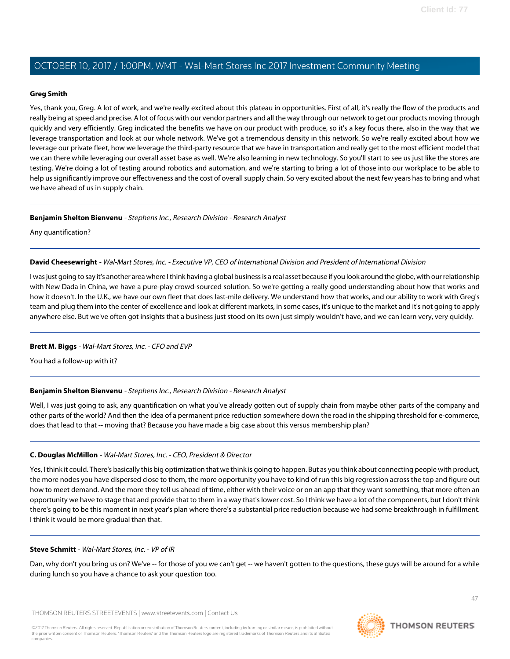#### <span id="page-46-0"></span>**Greg Smith**

Yes, thank you, Greg. A lot of work, and we're really excited about this plateau in opportunities. First of all, it's really the flow of the products and really being at speed and precise. A lot of focus with our vendor partners and all the way through our network to get our products moving through quickly and very efficiently. Greg indicated the benefits we have on our product with produce, so it's a key focus there, also in the way that we leverage transportation and look at our whole network. We've got a tremendous density in this network. So we're really excited about how we leverage our private fleet, how we leverage the third-party resource that we have in transportation and really get to the most efficient model that we can there while leveraging our overall asset base as well. We're also learning in new technology. So you'll start to see us just like the stores are testing. We're doing a lot of testing around robotics and automation, and we're starting to bring a lot of those into our workplace to be able to help us significantly improve our effectiveness and the cost of overall supply chain. So very excited about the next few years has to bring and what we have ahead of us in supply chain.

#### **Benjamin Shelton Bienvenu** - Stephens Inc., Research Division - Research Analyst

Any quantification?

#### **David Cheesewright** - Wal-Mart Stores, Inc. - Executive VP, CEO of International Division and President of International Division

I was just going to say it's another area where I think having a global business is a real asset because if you look around the globe, with our relationship with New Dada in China, we have a pure-play crowd-sourced solution. So we're getting a really good understanding about how that works and how it doesn't. In the U.K., we have our own fleet that does last-mile delivery. We understand how that works, and our ability to work with Greg's team and plug them into the center of excellence and look at different markets, in some cases, it's unique to the market and it's not going to apply anywhere else. But we've often got insights that a business just stood on its own just simply wouldn't have, and we can learn very, very quickly.

#### **Brett M. Biggs** - Wal-Mart Stores, Inc. - CFO and EVP

You had a follow-up with it?

#### **Benjamin Shelton Bienvenu** - Stephens Inc., Research Division - Research Analyst

Well, I was just going to ask, any quantification on what you've already gotten out of supply chain from maybe other parts of the company and other parts of the world? And then the idea of a permanent price reduction somewhere down the road in the shipping threshold for e-commerce, does that lead to that -- moving that? Because you have made a big case about this versus membership plan?

#### **C. Douglas McMillon** - Wal-Mart Stores, Inc. - CEO, President & Director

Yes, I think it could. There's basically this big optimization that we think is going to happen. But as you think about connecting people with product, the more nodes you have dispersed close to them, the more opportunity you have to kind of run this big regression across the top and figure out how to meet demand. And the more they tell us ahead of time, either with their voice or on an app that they want something, that more often an opportunity we have to stage that and provide that to them in a way that's lower cost. So I think we have a lot of the components, but I don't think there's going to be this moment in next year's plan where there's a substantial price reduction because we had some breakthrough in fulfillment. I think it would be more gradual than that.

#### **Steve Schmitt** - Wal-Mart Stores, Inc. - VP of IR

Dan, why don't you bring us on? We've -- for those of you we can't get -- we haven't gotten to the questions, these guys will be around for a while during lunch so you have a chance to ask your question too.

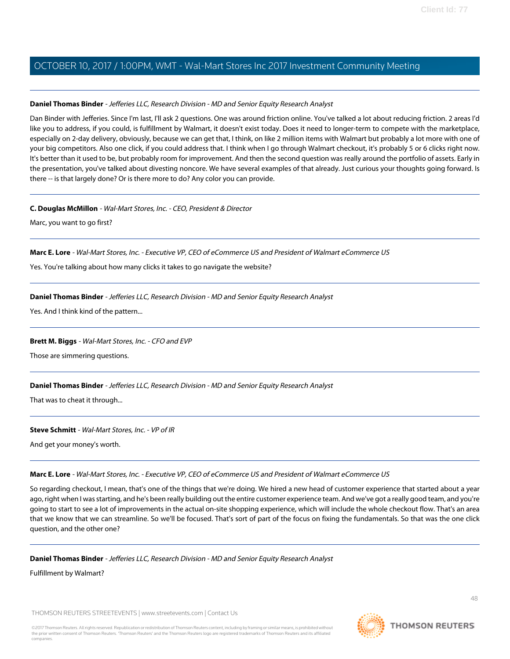#### <span id="page-47-0"></span>**Daniel Thomas Binder** - Jefferies LLC, Research Division - MD and Senior Equity Research Analyst

Dan Binder with Jefferies. Since I'm last, I'll ask 2 questions. One was around friction online. You've talked a lot about reducing friction. 2 areas I'd like you to address, if you could, is fulfillment by Walmart, it doesn't exist today. Does it need to longer-term to compete with the marketplace, especially on 2-day delivery, obviously, because we can get that, I think, on like 2 million items with Walmart but probably a lot more with one of your big competitors. Also one click, if you could address that. I think when I go through Walmart checkout, it's probably 5 or 6 clicks right now. It's better than it used to be, but probably room for improvement. And then the second question was really around the portfolio of assets. Early in the presentation, you've talked about divesting noncore. We have several examples of that already. Just curious your thoughts going forward. Is there -- is that largely done? Or is there more to do? Any color you can provide.

#### **C. Douglas McMillon** - Wal-Mart Stores, Inc. - CEO, President & Director

Marc, you want to go first?

#### **Marc E. Lore** - Wal-Mart Stores, Inc. - Executive VP, CEO of eCommerce US and President of Walmart eCommerce US

Yes. You're talking about how many clicks it takes to go navigate the website?

#### **Daniel Thomas Binder** - Jefferies LLC, Research Division - MD and Senior Equity Research Analyst

Yes. And I think kind of the pattern...

#### **Brett M. Biggs** - Wal-Mart Stores, Inc. - CFO and EVP

Those are simmering questions.

#### **Daniel Thomas Binder** - Jefferies LLC, Research Division - MD and Senior Equity Research Analyst

That was to cheat it through...

#### **Steve Schmitt** - Wal-Mart Stores, Inc. - VP of IR

And get your money's worth.

#### **Marc E. Lore** - Wal-Mart Stores, Inc. - Executive VP, CEO of eCommerce US and President of Walmart eCommerce US

So regarding checkout, I mean, that's one of the things that we're doing. We hired a new head of customer experience that started about a year ago, right when I was starting, and he's been really building out the entire customer experience team. And we've got a really good team, and you're going to start to see a lot of improvements in the actual on-site shopping experience, which will include the whole checkout flow. That's an area that we know that we can streamline. So we'll be focused. That's sort of part of the focus on fixing the fundamentals. So that was the one click question, and the other one?

#### **Daniel Thomas Binder** - Jefferies LLC, Research Division - MD and Senior Equity Research Analyst

Fulfillment by Walmart?